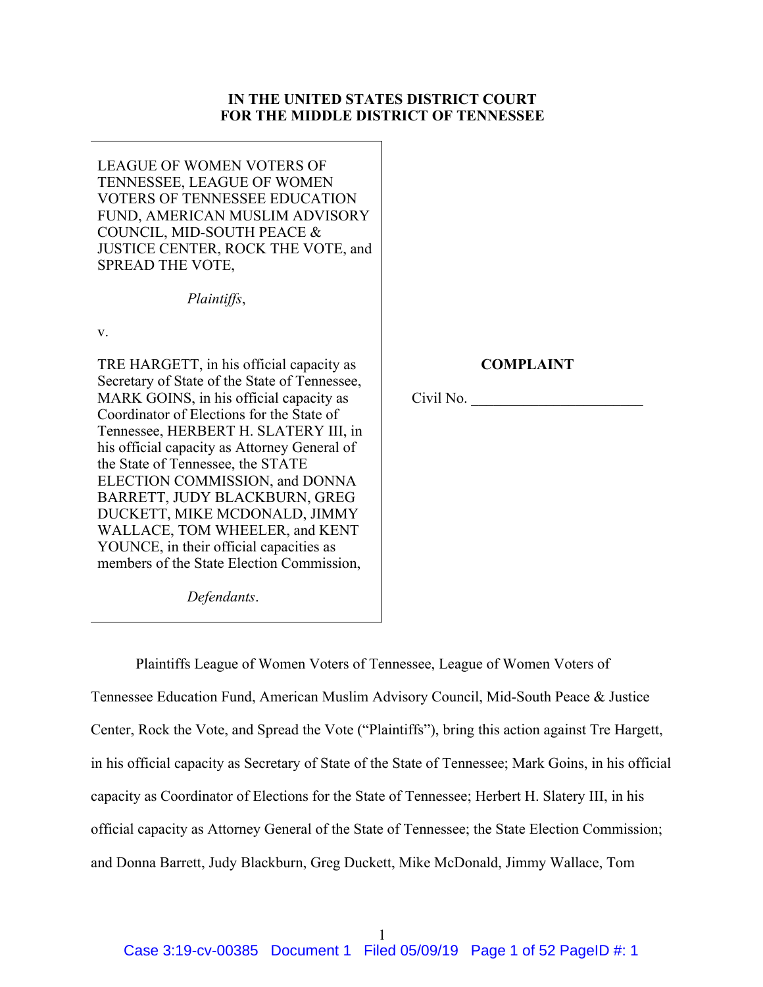## **IN THE UNITED STATES DISTRICT COURT FOR THE MIDDLE DISTRICT OF TENNESSEE**

LEAGUE OF WOMEN VOTERS OF TENNESSEE, LEAGUE OF WOMEN VOTERS OF TENNESSEE EDUCATION FUND, AMERICAN MUSLIM ADVISORY COUNCIL, MID-SOUTH PEACE & JUSTICE CENTER, ROCK THE VOTE, and SPREAD THE VOTE,

*Plaintiffs*,

v.

TRE HARGETT, in his official capacity as Secretary of State of the State of Tennessee, MARK GOINS, in his official capacity as Coordinator of Elections for the State of Tennessee, HERBERT H. SLATERY III, in his official capacity as Attorney General of the State of Tennessee, the STATE ELECTION COMMISSION, and DONNA BARRETT, JUDY BLACKBURN, GREG DUCKETT, MIKE MCDONALD, JIMMY WALLACE, TOM WHEELER, and KENT YOUNCE, in their official capacities as members of the State Election Commission,

## **COMPLAINT**

Civil No. \_\_\_\_\_\_\_\_\_\_\_\_\_\_\_\_\_\_\_\_\_\_\_

*Defendants*.

Plaintiffs League of Women Voters of Tennessee, League of Women Voters of Tennessee Education Fund, American Muslim Advisory Council, Mid-South Peace & Justice Center, Rock the Vote, and Spread the Vote ("Plaintiffs"), bring this action against Tre Hargett, in his official capacity as Secretary of State of the State of Tennessee; Mark Goins, in his official capacity as Coordinator of Elections for the State of Tennessee; Herbert H. Slatery III, in his official capacity as Attorney General of the State of Tennessee; the State Election Commission; and Donna Barrett, Judy Blackburn, Greg Duckett, Mike McDonald, Jimmy Wallace, Tom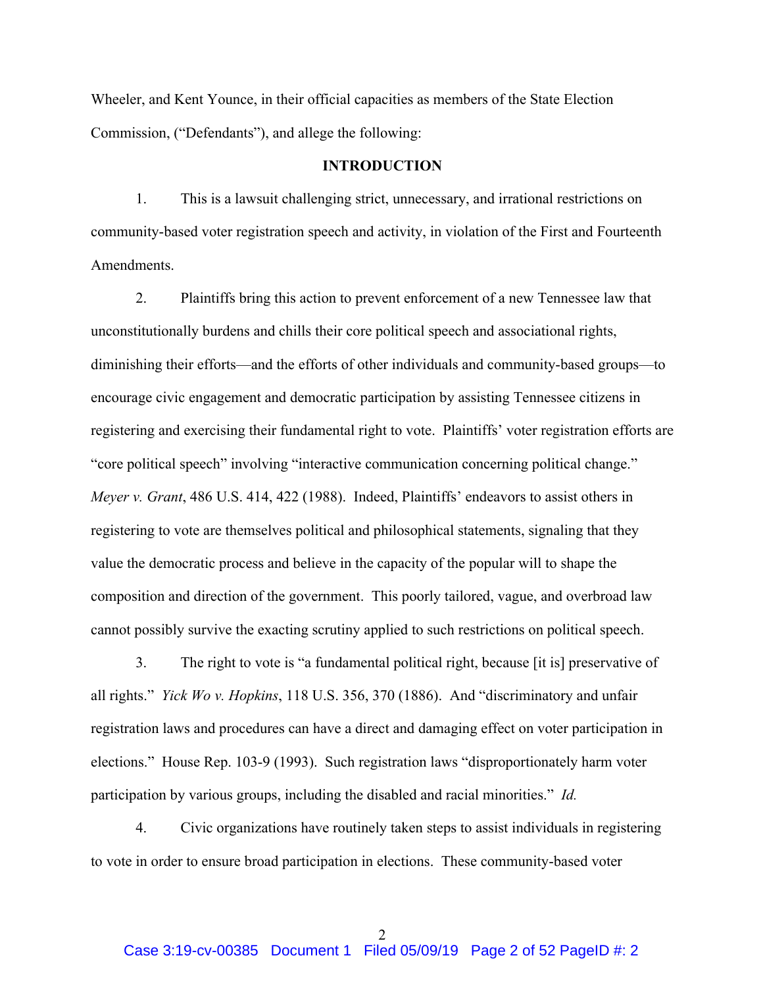Wheeler, and Kent Younce, in their official capacities as members of the State Election Commission, ("Defendants"), and allege the following:

### **INTRODUCTION**

1. This is a lawsuit challenging strict, unnecessary, and irrational restrictions on community-based voter registration speech and activity, in violation of the First and Fourteenth Amendments.

2. Plaintiffs bring this action to prevent enforcement of a new Tennessee law that unconstitutionally burdens and chills their core political speech and associational rights, diminishing their efforts—and the efforts of other individuals and community-based groups—to encourage civic engagement and democratic participation by assisting Tennessee citizens in registering and exercising their fundamental right to vote. Plaintiffs' voter registration efforts are "core political speech" involving "interactive communication concerning political change." *Meyer v. Grant*, 486 U.S. 414, 422 (1988). Indeed, Plaintiffs' endeavors to assist others in registering to vote are themselves political and philosophical statements, signaling that they value the democratic process and believe in the capacity of the popular will to shape the composition and direction of the government. This poorly tailored, vague, and overbroad law cannot possibly survive the exacting scrutiny applied to such restrictions on political speech.

3. The right to vote is "a fundamental political right, because [it is] preservative of all rights." *Yick Wo v. Hopkins*, 118 U.S. 356, 370 (1886). And "discriminatory and unfair registration laws and procedures can have a direct and damaging effect on voter participation in elections." House Rep. 103-9 (1993). Such registration laws "disproportionately harm voter participation by various groups, including the disabled and racial minorities." *Id.*

4. Civic organizations have routinely taken steps to assist individuals in registering to vote in order to ensure broad participation in elections. These community-based voter

2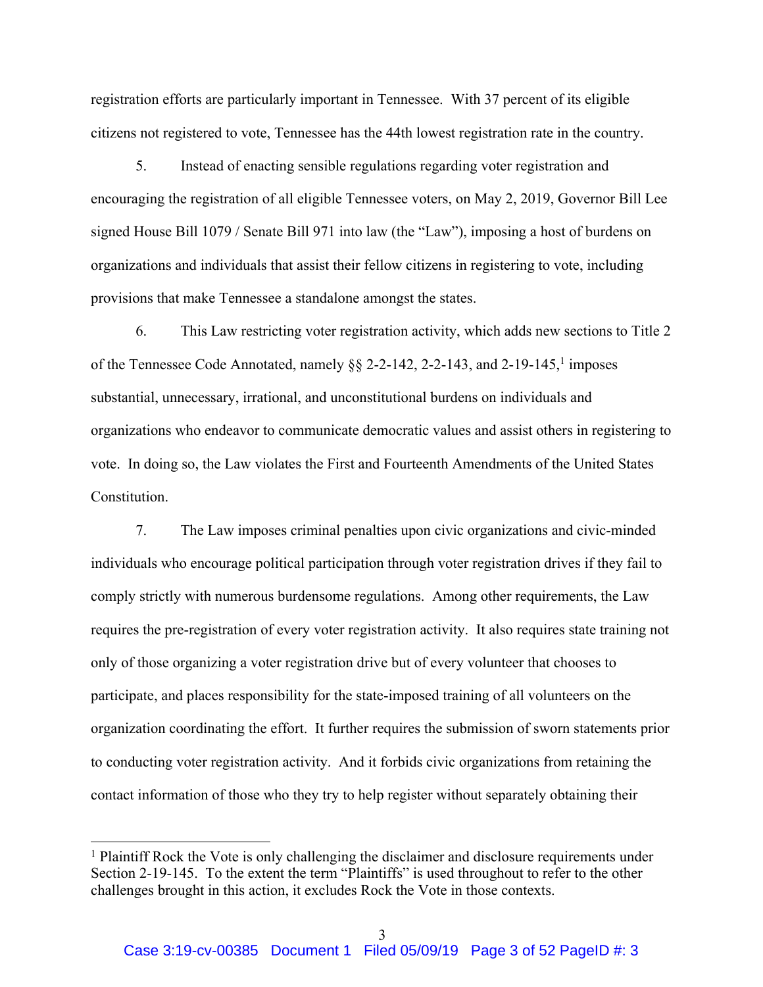registration efforts are particularly important in Tennessee. With 37 percent of its eligible citizens not registered to vote, Tennessee has the 44th lowest registration rate in the country.

5. Instead of enacting sensible regulations regarding voter registration and encouraging the registration of all eligible Tennessee voters, on May 2, 2019, Governor Bill Lee signed House Bill 1079 / Senate Bill 971 into law (the "Law"), imposing a host of burdens on organizations and individuals that assist their fellow citizens in registering to vote, including provisions that make Tennessee a standalone amongst the states.

6. This Law restricting voter registration activity, which adds new sections to Title 2 of the Tennessee Code Annotated, namely  $\S\S 2$ -2-142, 2-2-143, and 2-19-145,<sup>1</sup> imposes substantial, unnecessary, irrational, and unconstitutional burdens on individuals and organizations who endeavor to communicate democratic values and assist others in registering to vote. In doing so, the Law violates the First and Fourteenth Amendments of the United States Constitution.

7. The Law imposes criminal penalties upon civic organizations and civic-minded individuals who encourage political participation through voter registration drives if they fail to comply strictly with numerous burdensome regulations. Among other requirements, the Law requires the pre-registration of every voter registration activity. It also requires state training not only of those organizing a voter registration drive but of every volunteer that chooses to participate, and places responsibility for the state-imposed training of all volunteers on the organization coordinating the effort. It further requires the submission of sworn statements prior to conducting voter registration activity. And it forbids civic organizations from retaining the contact information of those who they try to help register without separately obtaining their

<sup>&</sup>lt;sup>1</sup> Plaintiff Rock the Vote is only challenging the disclaimer and disclosure requirements under Section 2-19-145. To the extent the term "Plaintiffs" is used throughout to refer to the other challenges brought in this action, it excludes Rock the Vote in those contexts.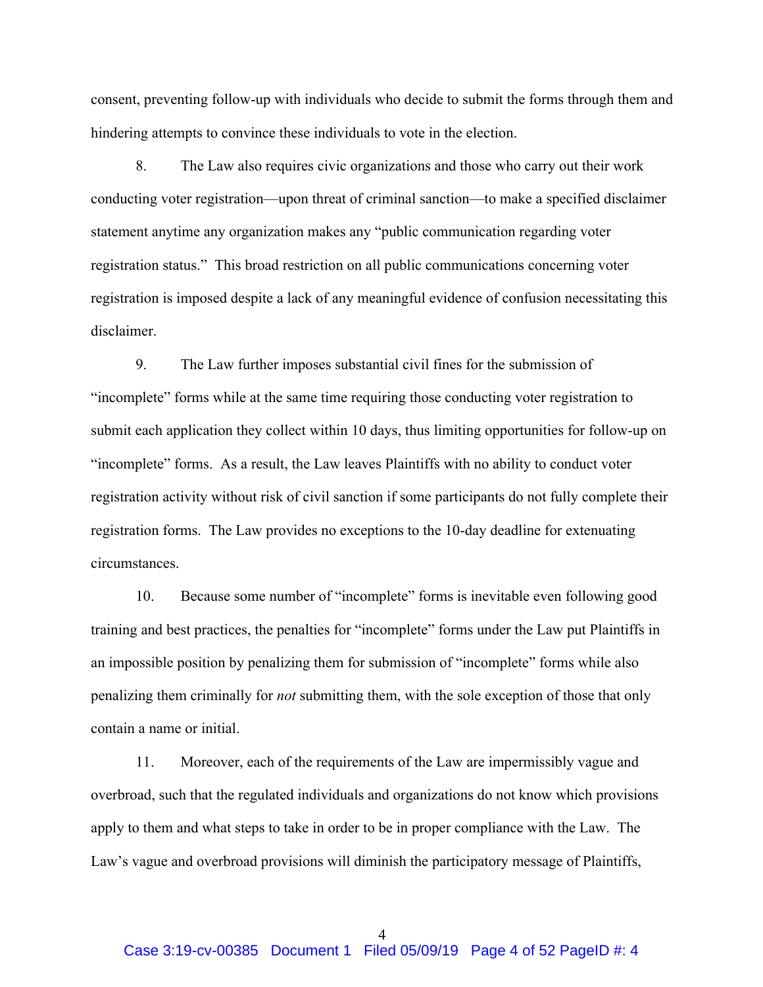consent, preventing follow-up with individuals who decide to submit the forms through them and hindering attempts to convince these individuals to vote in the election.

8. The Law also requires civic organizations and those who carry out their work conducting voter registration—upon threat of criminal sanction—to make a specified disclaimer statement anytime any organization makes any "public communication regarding voter registration status." This broad restriction on all public communications concerning voter registration is imposed despite a lack of any meaningful evidence of confusion necessitating this disclaimer.

9. The Law further imposes substantial civil fines for the submission of "incomplete" forms while at the same time requiring those conducting voter registration to submit each application they collect within 10 days, thus limiting opportunities for follow-up on "incomplete" forms. As a result, the Law leaves Plaintiffs with no ability to conduct voter registration activity without risk of civil sanction if some participants do not fully complete their registration forms. The Law provides no exceptions to the 10-day deadline for extenuating circumstances.

10. Because some number of "incomplete" forms is inevitable even following good training and best practices, the penalties for "incomplete" forms under the Law put Plaintiffs in an impossible position by penalizing them for submission of "incomplete" forms while also penalizing them criminally for *not* submitting them, with the sole exception of those that only contain a name or initial.

11. Moreover, each of the requirements of the Law are impermissibly vague and overbroad, such that the regulated individuals and organizations do not know which provisions apply to them and what steps to take in order to be in proper compliance with the Law. The Law's vague and overbroad provisions will diminish the participatory message of Plaintiffs,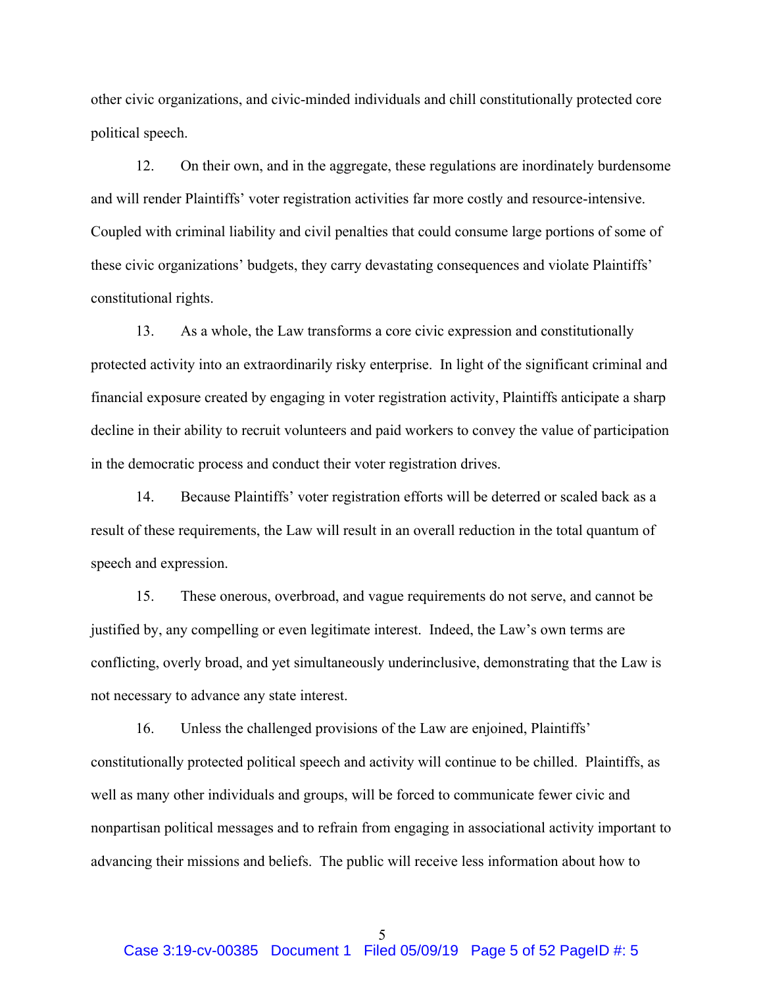other civic organizations, and civic-minded individuals and chill constitutionally protected core political speech.

12. On their own, and in the aggregate, these regulations are inordinately burdensome and will render Plaintiffs' voter registration activities far more costly and resource-intensive. Coupled with criminal liability and civil penalties that could consume large portions of some of these civic organizations' budgets, they carry devastating consequences and violate Plaintiffs' constitutional rights.

13. As a whole, the Law transforms a core civic expression and constitutionally protected activity into an extraordinarily risky enterprise. In light of the significant criminal and financial exposure created by engaging in voter registration activity, Plaintiffs anticipate a sharp decline in their ability to recruit volunteers and paid workers to convey the value of participation in the democratic process and conduct their voter registration drives.

14. Because Plaintiffs' voter registration efforts will be deterred or scaled back as a result of these requirements, the Law will result in an overall reduction in the total quantum of speech and expression.

15. These onerous, overbroad, and vague requirements do not serve, and cannot be justified by, any compelling or even legitimate interest. Indeed, the Law's own terms are conflicting, overly broad, and yet simultaneously underinclusive, demonstrating that the Law is not necessary to advance any state interest.

16. Unless the challenged provisions of the Law are enjoined, Plaintiffs' constitutionally protected political speech and activity will continue to be chilled. Plaintiffs, as well as many other individuals and groups, will be forced to communicate fewer civic and nonpartisan political messages and to refrain from engaging in associational activity important to advancing their missions and beliefs. The public will receive less information about how to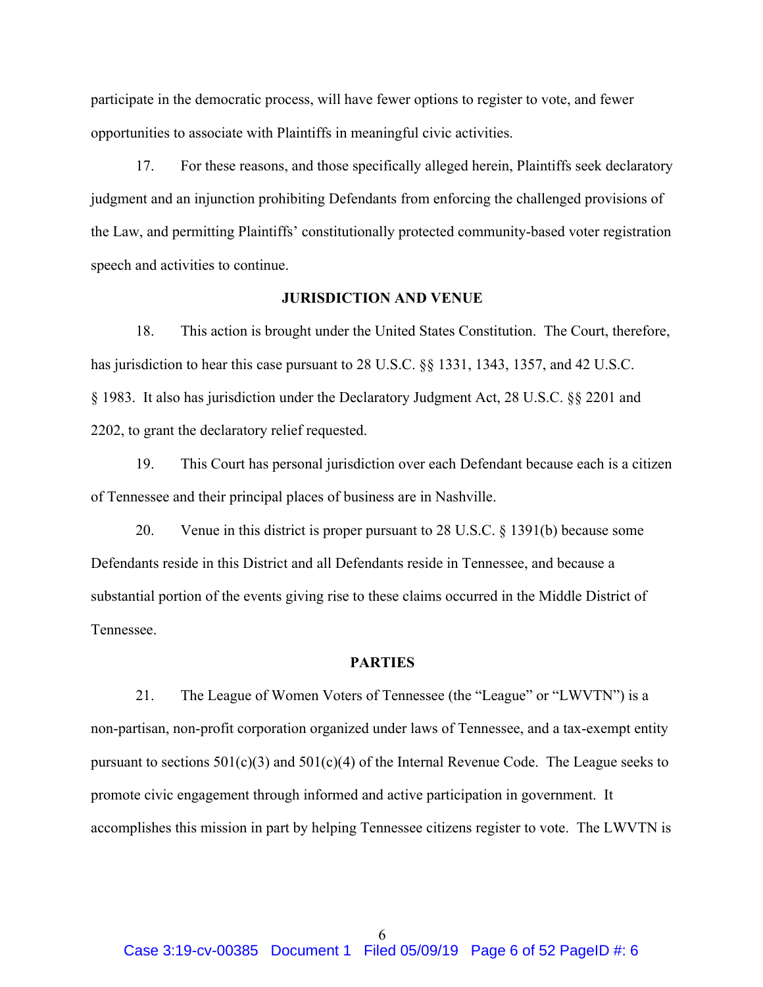participate in the democratic process, will have fewer options to register to vote, and fewer opportunities to associate with Plaintiffs in meaningful civic activities.

17. For these reasons, and those specifically alleged herein, Plaintiffs seek declaratory judgment and an injunction prohibiting Defendants from enforcing the challenged provisions of the Law, and permitting Plaintiffs' constitutionally protected community-based voter registration speech and activities to continue.

### **JURISDICTION AND VENUE**

18. This action is brought under the United States Constitution. The Court, therefore, has jurisdiction to hear this case pursuant to 28 U.S.C. §§ 1331, 1343, 1357, and 42 U.S.C. § 1983. It also has jurisdiction under the Declaratory Judgment Act, 28 U.S.C. §§ 2201 and 2202, to grant the declaratory relief requested.

19. This Court has personal jurisdiction over each Defendant because each is a citizen of Tennessee and their principal places of business are in Nashville.

20. Venue in this district is proper pursuant to 28 U.S.C. § 1391(b) because some Defendants reside in this District and all Defendants reside in Tennessee, and because a substantial portion of the events giving rise to these claims occurred in the Middle District of Tennessee.

#### **PARTIES**

21. The League of Women Voters of Tennessee (the "League" or "LWVTN") is a non-partisan, non-profit corporation organized under laws of Tennessee, and a tax-exempt entity pursuant to sections  $501(c)(3)$  and  $501(c)(4)$  of the Internal Revenue Code. The League seeks to promote civic engagement through informed and active participation in government. It accomplishes this mission in part by helping Tennessee citizens register to vote. The LWVTN is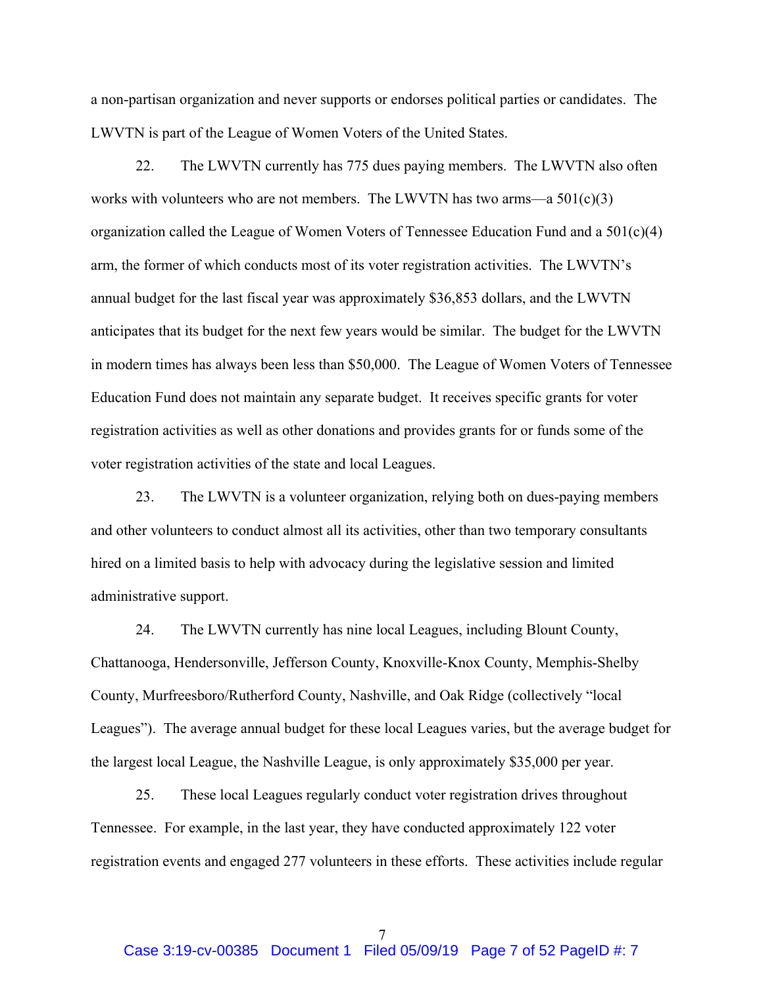a non-partisan organization and never supports or endorses political parties or candidates. The LWVTN is part of the League of Women Voters of the United States.

22. The LWVTN currently has 775 dues paying members. The LWVTN also often works with volunteers who are not members. The LWVTN has two arms—a  $501(c)(3)$ organization called the League of Women Voters of Tennessee Education Fund and a 501(c)(4) arm, the former of which conducts most of its voter registration activities. The LWVTN's annual budget for the last fiscal year was approximately \$36,853 dollars, and the LWVTN anticipates that its budget for the next few years would be similar. The budget for the LWVTN in modern times has always been less than \$50,000. The League of Women Voters of Tennessee Education Fund does not maintain any separate budget. It receives specific grants for voter registration activities as well as other donations and provides grants for or funds some of the voter registration activities of the state and local Leagues.

23. The LWVTN is a volunteer organization, relying both on dues-paying members and other volunteers to conduct almost all its activities, other than two temporary consultants hired on a limited basis to help with advocacy during the legislative session and limited administrative support.

24. The LWVTN currently has nine local Leagues, including Blount County, Chattanooga, Hendersonville, Jefferson County, Knoxville-Knox County, Memphis-Shelby County, Murfreesboro/Rutherford County, Nashville, and Oak Ridge (collectively "local Leagues"). The average annual budget for these local Leagues varies, but the average budget for the largest local League, the Nashville League, is only approximately \$35,000 per year.

25. These local Leagues regularly conduct voter registration drives throughout Tennessee. For example, in the last year, they have conducted approximately 122 voter registration events and engaged 277 volunteers in these efforts. These activities include regular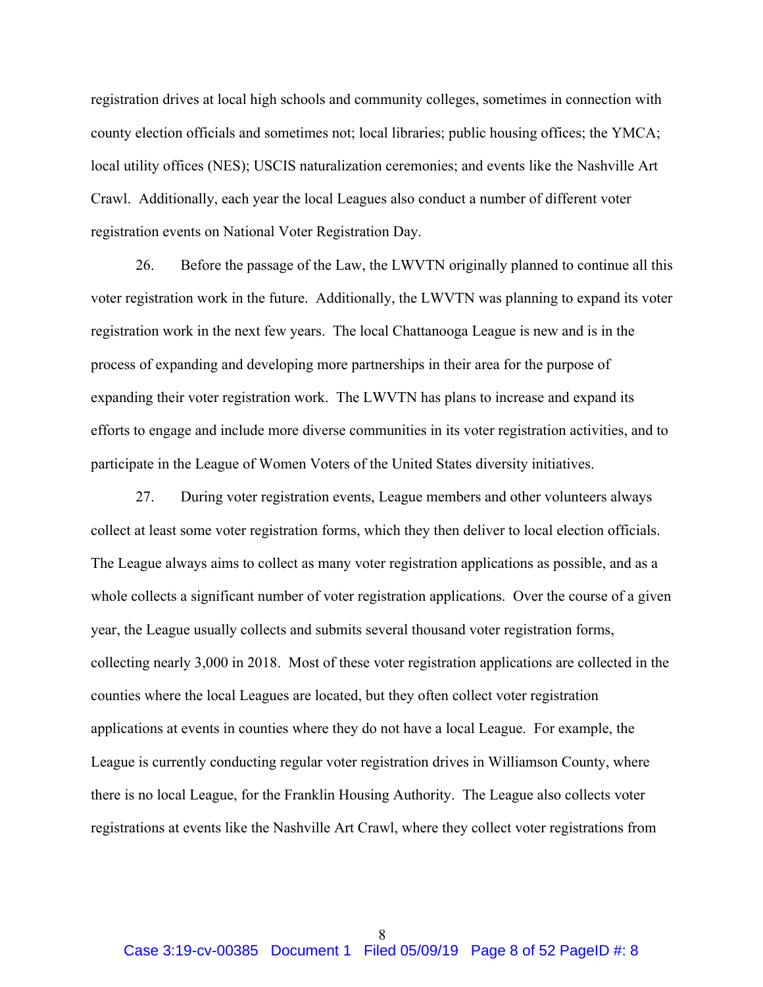registration drives at local high schools and community colleges, sometimes in connection with county election officials and sometimes not; local libraries; public housing offices; the YMCA; local utility offices (NES); USCIS naturalization ceremonies; and events like the Nashville Art Crawl. Additionally, each year the local Leagues also conduct a number of different voter registration events on National Voter Registration Day.

26. Before the passage of the Law, the LWVTN originally planned to continue all this voter registration work in the future. Additionally, the LWVTN was planning to expand its voter registration work in the next few years. The local Chattanooga League is new and is in the process of expanding and developing more partnerships in their area for the purpose of expanding their voter registration work. The LWVTN has plans to increase and expand its efforts to engage and include more diverse communities in its voter registration activities, and to participate in the League of Women Voters of the United States diversity initiatives.

27. During voter registration events, League members and other volunteers always collect at least some voter registration forms, which they then deliver to local election officials. The League always aims to collect as many voter registration applications as possible, and as a whole collects a significant number of voter registration applications. Over the course of a given year, the League usually collects and submits several thousand voter registration forms, collecting nearly 3,000 in 2018. Most of these voter registration applications are collected in the counties where the local Leagues are located, but they often collect voter registration applications at events in counties where they do not have a local League. For example, the League is currently conducting regular voter registration drives in Williamson County, where there is no local League, for the Franklin Housing Authority. The League also collects voter registrations at events like the Nashville Art Crawl, where they collect voter registrations from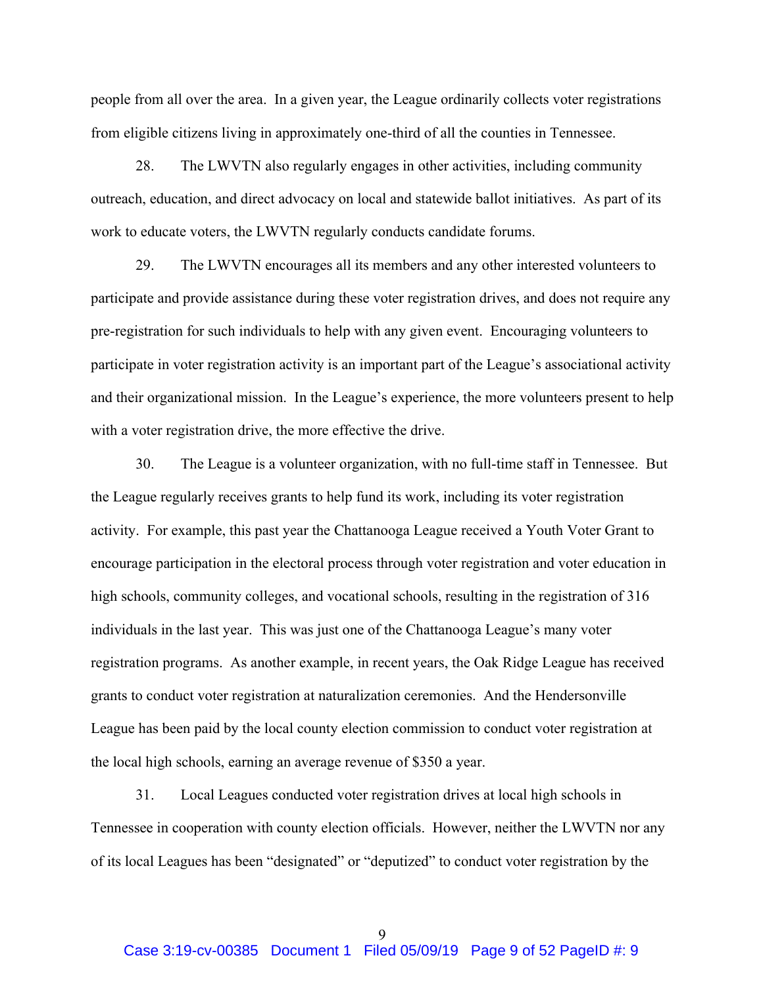people from all over the area. In a given year, the League ordinarily collects voter registrations from eligible citizens living in approximately one-third of all the counties in Tennessee.

28. The LWVTN also regularly engages in other activities, including community outreach, education, and direct advocacy on local and statewide ballot initiatives. As part of its work to educate voters, the LWVTN regularly conducts candidate forums.

29. The LWVTN encourages all its members and any other interested volunteers to participate and provide assistance during these voter registration drives, and does not require any pre-registration for such individuals to help with any given event. Encouraging volunteers to participate in voter registration activity is an important part of the League's associational activity and their organizational mission. In the League's experience, the more volunteers present to help with a voter registration drive, the more effective the drive.

30. The League is a volunteer organization, with no full-time staff in Tennessee. But the League regularly receives grants to help fund its work, including its voter registration activity. For example, this past year the Chattanooga League received a Youth Voter Grant to encourage participation in the electoral process through voter registration and voter education in high schools, community colleges, and vocational schools, resulting in the registration of 316 individuals in the last year. This was just one of the Chattanooga League's many voter registration programs. As another example, in recent years, the Oak Ridge League has received grants to conduct voter registration at naturalization ceremonies. And the Hendersonville League has been paid by the local county election commission to conduct voter registration at the local high schools, earning an average revenue of \$350 a year.

31. Local Leagues conducted voter registration drives at local high schools in Tennessee in cooperation with county election officials. However, neither the LWVTN nor any of its local Leagues has been "designated" or "deputized" to conduct voter registration by the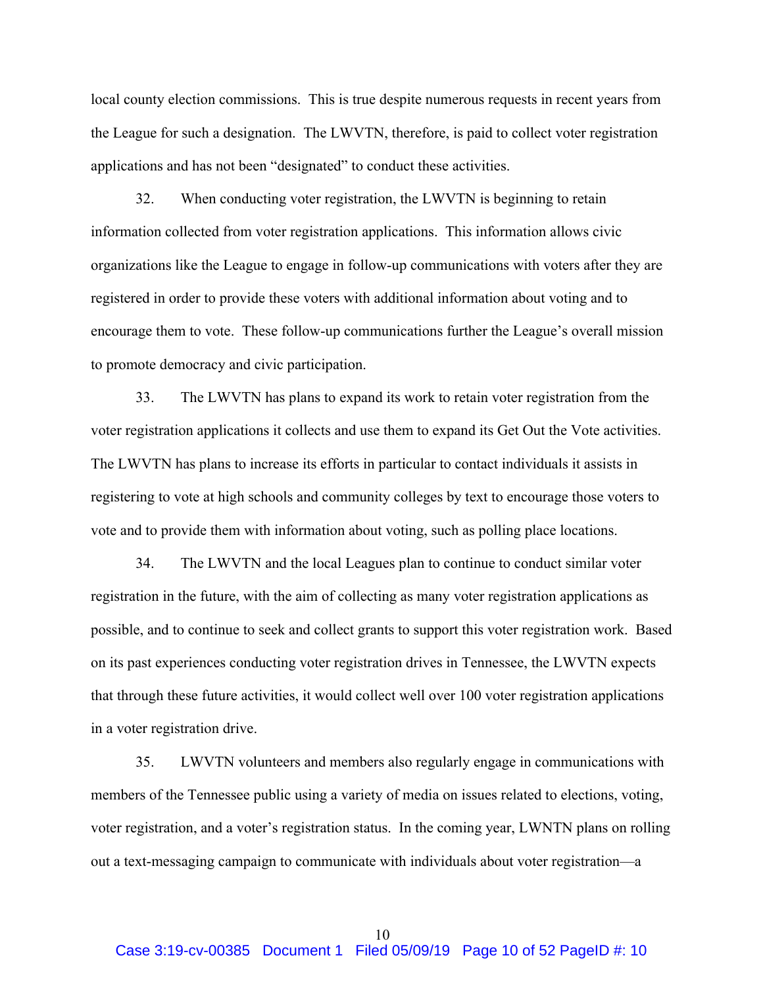local county election commissions. This is true despite numerous requests in recent years from the League for such a designation. The LWVTN, therefore, is paid to collect voter registration applications and has not been "designated" to conduct these activities.

32. When conducting voter registration, the LWVTN is beginning to retain information collected from voter registration applications. This information allows civic organizations like the League to engage in follow-up communications with voters after they are registered in order to provide these voters with additional information about voting and to encourage them to vote. These follow-up communications further the League's overall mission to promote democracy and civic participation.

33. The LWVTN has plans to expand its work to retain voter registration from the voter registration applications it collects and use them to expand its Get Out the Vote activities. The LWVTN has plans to increase its efforts in particular to contact individuals it assists in registering to vote at high schools and community colleges by text to encourage those voters to vote and to provide them with information about voting, such as polling place locations.

34. The LWVTN and the local Leagues plan to continue to conduct similar voter registration in the future, with the aim of collecting as many voter registration applications as possible, and to continue to seek and collect grants to support this voter registration work. Based on its past experiences conducting voter registration drives in Tennessee, the LWVTN expects that through these future activities, it would collect well over 100 voter registration applications in a voter registration drive.

35. LWVTN volunteers and members also regularly engage in communications with members of the Tennessee public using a variety of media on issues related to elections, voting, voter registration, and a voter's registration status. In the coming year, LWNTN plans on rolling out a text-messaging campaign to communicate with individuals about voter registration—a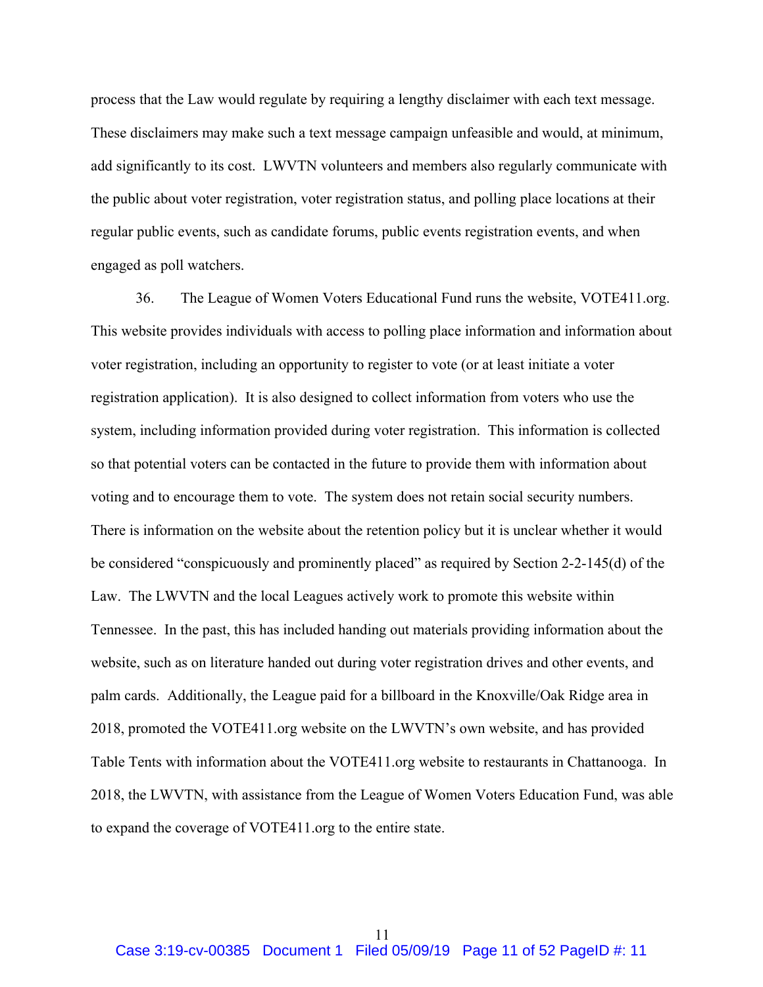process that the Law would regulate by requiring a lengthy disclaimer with each text message. These disclaimers may make such a text message campaign unfeasible and would, at minimum, add significantly to its cost. LWVTN volunteers and members also regularly communicate with the public about voter registration, voter registration status, and polling place locations at their regular public events, such as candidate forums, public events registration events, and when engaged as poll watchers.

36. The League of Women Voters Educational Fund runs the website, VOTE411.org. This website provides individuals with access to polling place information and information about voter registration, including an opportunity to register to vote (or at least initiate a voter registration application). It is also designed to collect information from voters who use the system, including information provided during voter registration. This information is collected so that potential voters can be contacted in the future to provide them with information about voting and to encourage them to vote. The system does not retain social security numbers. There is information on the website about the retention policy but it is unclear whether it would be considered "conspicuously and prominently placed" as required by Section 2-2-145(d) of the Law. The LWVTN and the local Leagues actively work to promote this website within Tennessee. In the past, this has included handing out materials providing information about the website, such as on literature handed out during voter registration drives and other events, and palm cards. Additionally, the League paid for a billboard in the Knoxville/Oak Ridge area in 2018, promoted the VOTE411.org website on the LWVTN's own website, and has provided Table Tents with information about the VOTE411.org website to restaurants in Chattanooga. In 2018, the LWVTN, with assistance from the League of Women Voters Education Fund, was able to expand the coverage of VOTE411.org to the entire state.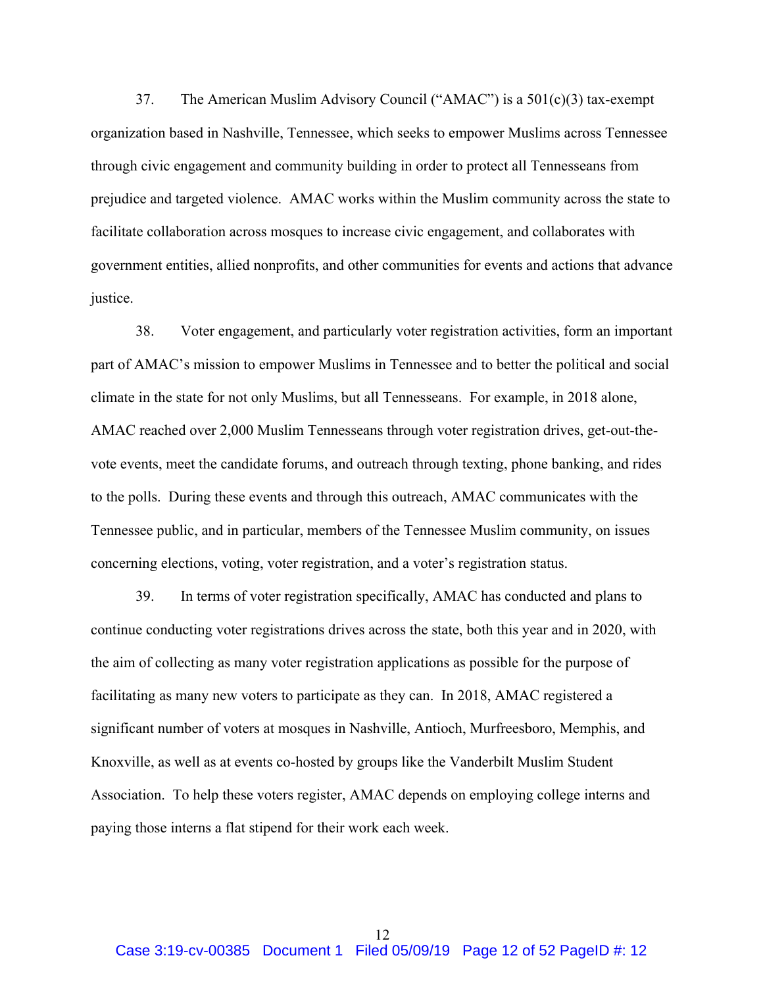37. The American Muslim Advisory Council ("AMAC") is a 501(c)(3) tax-exempt organization based in Nashville, Tennessee, which seeks to empower Muslims across Tennessee through civic engagement and community building in order to protect all Tennesseans from prejudice and targeted violence. AMAC works within the Muslim community across the state to facilitate collaboration across mosques to increase civic engagement, and collaborates with government entities, allied nonprofits, and other communities for events and actions that advance justice.

38. Voter engagement, and particularly voter registration activities, form an important part of AMAC's mission to empower Muslims in Tennessee and to better the political and social climate in the state for not only Muslims, but all Tennesseans. For example, in 2018 alone, AMAC reached over 2,000 Muslim Tennesseans through voter registration drives, get-out-thevote events, meet the candidate forums, and outreach through texting, phone banking, and rides to the polls. During these events and through this outreach, AMAC communicates with the Tennessee public, and in particular, members of the Tennessee Muslim community, on issues concerning elections, voting, voter registration, and a voter's registration status.

39. In terms of voter registration specifically, AMAC has conducted and plans to continue conducting voter registrations drives across the state, both this year and in 2020, with the aim of collecting as many voter registration applications as possible for the purpose of facilitating as many new voters to participate as they can. In 2018, AMAC registered a significant number of voters at mosques in Nashville, Antioch, Murfreesboro, Memphis, and Knoxville, as well as at events co-hosted by groups like the Vanderbilt Muslim Student Association. To help these voters register, AMAC depends on employing college interns and paying those interns a flat stipend for their work each week.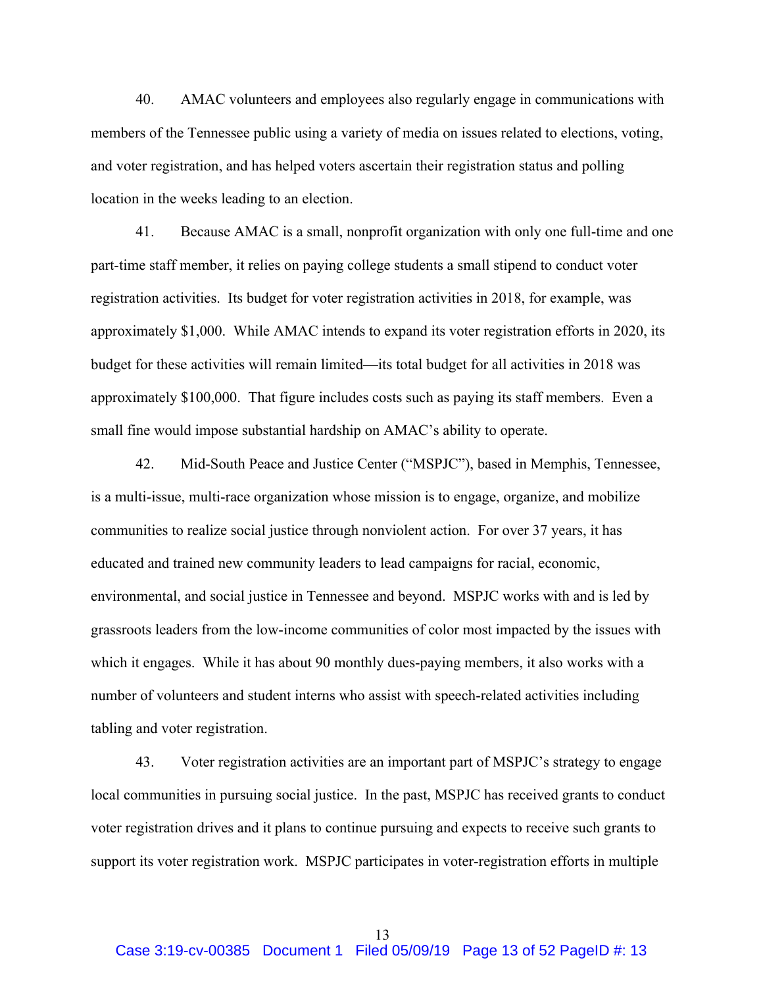40. AMAC volunteers and employees also regularly engage in communications with members of the Tennessee public using a variety of media on issues related to elections, voting, and voter registration, and has helped voters ascertain their registration status and polling location in the weeks leading to an election.

41. Because AMAC is a small, nonprofit organization with only one full-time and one part-time staff member, it relies on paying college students a small stipend to conduct voter registration activities. Its budget for voter registration activities in 2018, for example, was approximately \$1,000. While AMAC intends to expand its voter registration efforts in 2020, its budget for these activities will remain limited—its total budget for all activities in 2018 was approximately \$100,000. That figure includes costs such as paying its staff members. Even a small fine would impose substantial hardship on AMAC's ability to operate.

42. Mid-South Peace and Justice Center ("MSPJC"), based in Memphis, Tennessee, is a multi-issue, multi-race organization whose mission is to engage, organize, and mobilize communities to realize social justice through nonviolent action. For over 37 years, it has educated and trained new community leaders to lead campaigns for racial, economic, environmental, and social justice in Tennessee and beyond. MSPJC works with and is led by grassroots leaders from the low-income communities of color most impacted by the issues with which it engages. While it has about 90 monthly dues-paying members, it also works with a number of volunteers and student interns who assist with speech-related activities including tabling and voter registration.

43. Voter registration activities are an important part of MSPJC's strategy to engage local communities in pursuing social justice. In the past, MSPJC has received grants to conduct voter registration drives and it plans to continue pursuing and expects to receive such grants to support its voter registration work. MSPJC participates in voter-registration efforts in multiple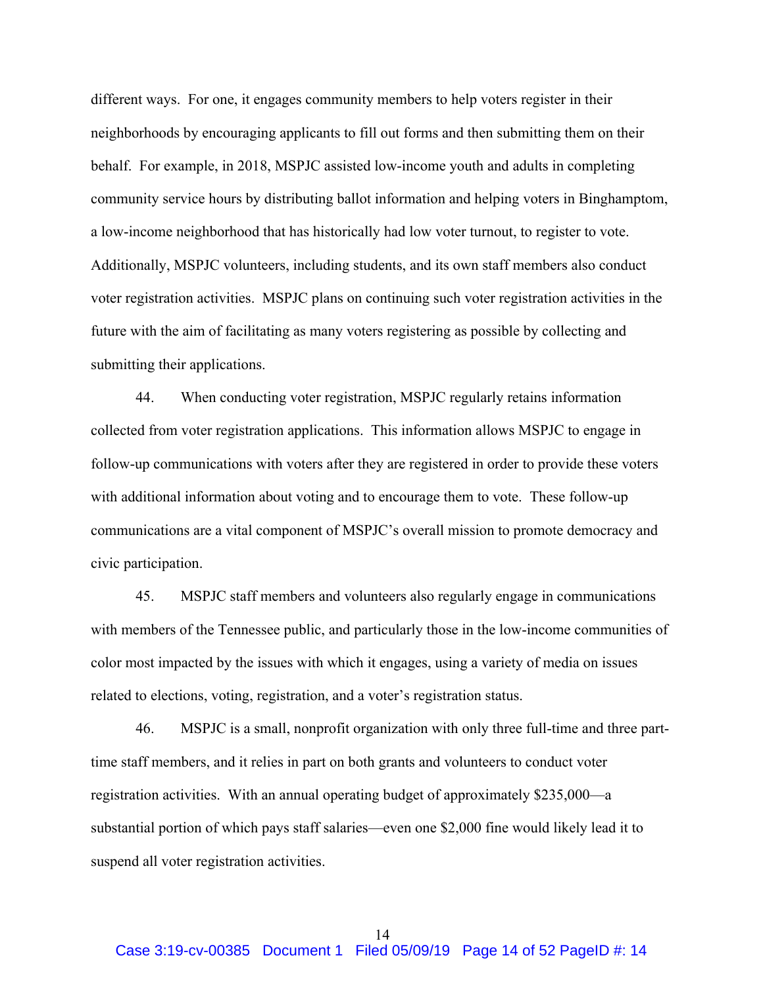different ways. For one, it engages community members to help voters register in their neighborhoods by encouraging applicants to fill out forms and then submitting them on their behalf. For example, in 2018, MSPJC assisted low-income youth and adults in completing community service hours by distributing ballot information and helping voters in Binghamptom, a low-income neighborhood that has historically had low voter turnout, to register to vote. Additionally, MSPJC volunteers, including students, and its own staff members also conduct voter registration activities. MSPJC plans on continuing such voter registration activities in the future with the aim of facilitating as many voters registering as possible by collecting and submitting their applications.

44. When conducting voter registration, MSPJC regularly retains information collected from voter registration applications. This information allows MSPJC to engage in follow-up communications with voters after they are registered in order to provide these voters with additional information about voting and to encourage them to vote. These follow-up communications are a vital component of MSPJC's overall mission to promote democracy and civic participation.

45. MSPJC staff members and volunteers also regularly engage in communications with members of the Tennessee public, and particularly those in the low-income communities of color most impacted by the issues with which it engages, using a variety of media on issues related to elections, voting, registration, and a voter's registration status.

46. MSPJC is a small, nonprofit organization with only three full-time and three parttime staff members, and it relies in part on both grants and volunteers to conduct voter registration activities. With an annual operating budget of approximately \$235,000—a substantial portion of which pays staff salaries—even one \$2,000 fine would likely lead it to suspend all voter registration activities.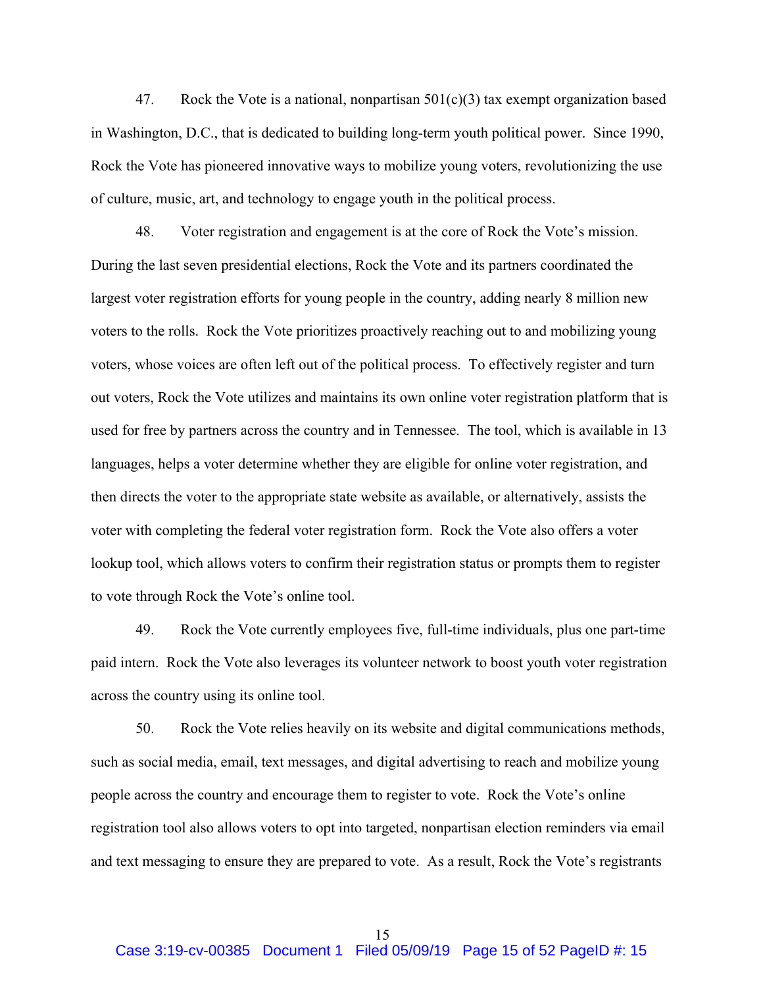47. Rock the Vote is a national, nonpartisan  $501(c)(3)$  tax exempt organization based in Washington, D.C., that is dedicated to building long-term youth political power. Since 1990, Rock the Vote has pioneered innovative ways to mobilize young voters, revolutionizing the use of culture, music, art, and technology to engage youth in the political process.

48. Voter registration and engagement is at the core of Rock the Vote's mission. During the last seven presidential elections, Rock the Vote and its partners coordinated the largest voter registration efforts for young people in the country, adding nearly 8 million new voters to the rolls. Rock the Vote prioritizes proactively reaching out to and mobilizing young voters, whose voices are often left out of the political process. To effectively register and turn out voters, Rock the Vote utilizes and maintains its own online voter registration platform that is used for free by partners across the country and in Tennessee. The tool, which is available in 13 languages, helps a voter determine whether they are eligible for online voter registration, and then directs the voter to the appropriate state website as available, or alternatively, assists the voter with completing the federal voter registration form. Rock the Vote also offers a voter lookup tool, which allows voters to confirm their registration status or prompts them to register to vote through Rock the Vote's online tool.

49. Rock the Vote currently employees five, full-time individuals, plus one part-time paid intern. Rock the Vote also leverages its volunteer network to boost youth voter registration across the country using its online tool.

50. Rock the Vote relies heavily on its website and digital communications methods, such as social media, email, text messages, and digital advertising to reach and mobilize young people across the country and encourage them to register to vote. Rock the Vote's online registration tool also allows voters to opt into targeted, nonpartisan election reminders via email and text messaging to ensure they are prepared to vote. As a result, Rock the Vote's registrants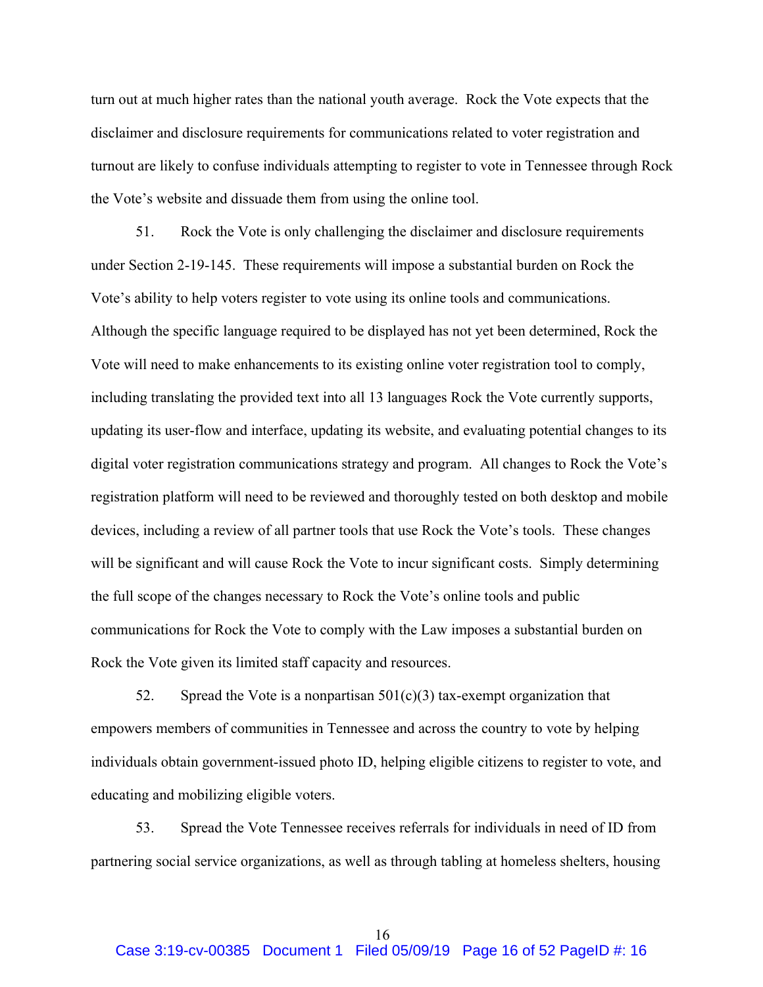turn out at much higher rates than the national youth average. Rock the Vote expects that the disclaimer and disclosure requirements for communications related to voter registration and turnout are likely to confuse individuals attempting to register to vote in Tennessee through Rock the Vote's website and dissuade them from using the online tool.

51. Rock the Vote is only challenging the disclaimer and disclosure requirements under Section 2-19-145. These requirements will impose a substantial burden on Rock the Vote's ability to help voters register to vote using its online tools and communications. Although the specific language required to be displayed has not yet been determined, Rock the Vote will need to make enhancements to its existing online voter registration tool to comply, including translating the provided text into all 13 languages Rock the Vote currently supports, updating its user-flow and interface, updating its website, and evaluating potential changes to its digital voter registration communications strategy and program. All changes to Rock the Vote's registration platform will need to be reviewed and thoroughly tested on both desktop and mobile devices, including a review of all partner tools that use Rock the Vote's tools. These changes will be significant and will cause Rock the Vote to incur significant costs. Simply determining the full scope of the changes necessary to Rock the Vote's online tools and public communications for Rock the Vote to comply with the Law imposes a substantial burden on Rock the Vote given its limited staff capacity and resources.

52. Spread the Vote is a nonpartisan  $501(c)(3)$  tax-exempt organization that empowers members of communities in Tennessee and across the country to vote by helping individuals obtain government-issued photo ID, helping eligible citizens to register to vote, and educating and mobilizing eligible voters.

53. Spread the Vote Tennessee receives referrals for individuals in need of ID from partnering social service organizations, as well as through tabling at homeless shelters, housing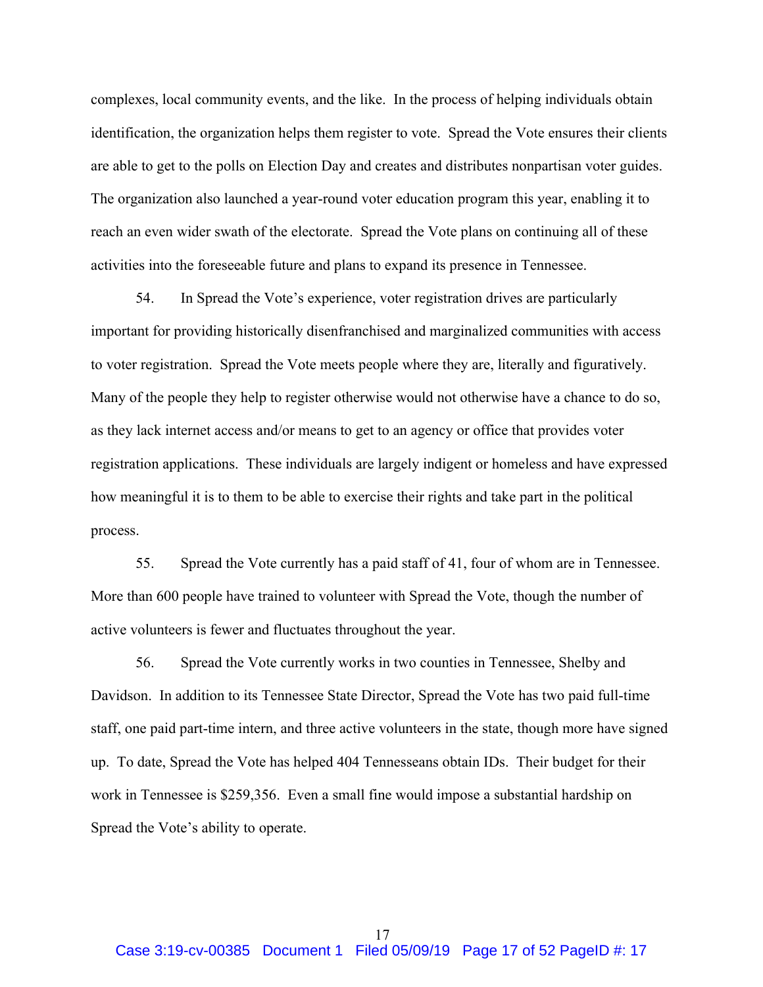complexes, local community events, and the like. In the process of helping individuals obtain identification, the organization helps them register to vote. Spread the Vote ensures their clients are able to get to the polls on Election Day and creates and distributes nonpartisan voter guides. The organization also launched a year-round voter education program this year, enabling it to reach an even wider swath of the electorate. Spread the Vote plans on continuing all of these activities into the foreseeable future and plans to expand its presence in Tennessee.

54. In Spread the Vote's experience, voter registration drives are particularly important for providing historically disenfranchised and marginalized communities with access to voter registration. Spread the Vote meets people where they are, literally and figuratively. Many of the people they help to register otherwise would not otherwise have a chance to do so, as they lack internet access and/or means to get to an agency or office that provides voter registration applications. These individuals are largely indigent or homeless and have expressed how meaningful it is to them to be able to exercise their rights and take part in the political process.

55. Spread the Vote currently has a paid staff of 41, four of whom are in Tennessee. More than 600 people have trained to volunteer with Spread the Vote, though the number of active volunteers is fewer and fluctuates throughout the year.

56. Spread the Vote currently works in two counties in Tennessee, Shelby and Davidson. In addition to its Tennessee State Director, Spread the Vote has two paid full-time staff, one paid part-time intern, and three active volunteers in the state, though more have signed up. To date, Spread the Vote has helped 404 Tennesseans obtain IDs. Their budget for their work in Tennessee is \$259,356. Even a small fine would impose a substantial hardship on Spread the Vote's ability to operate.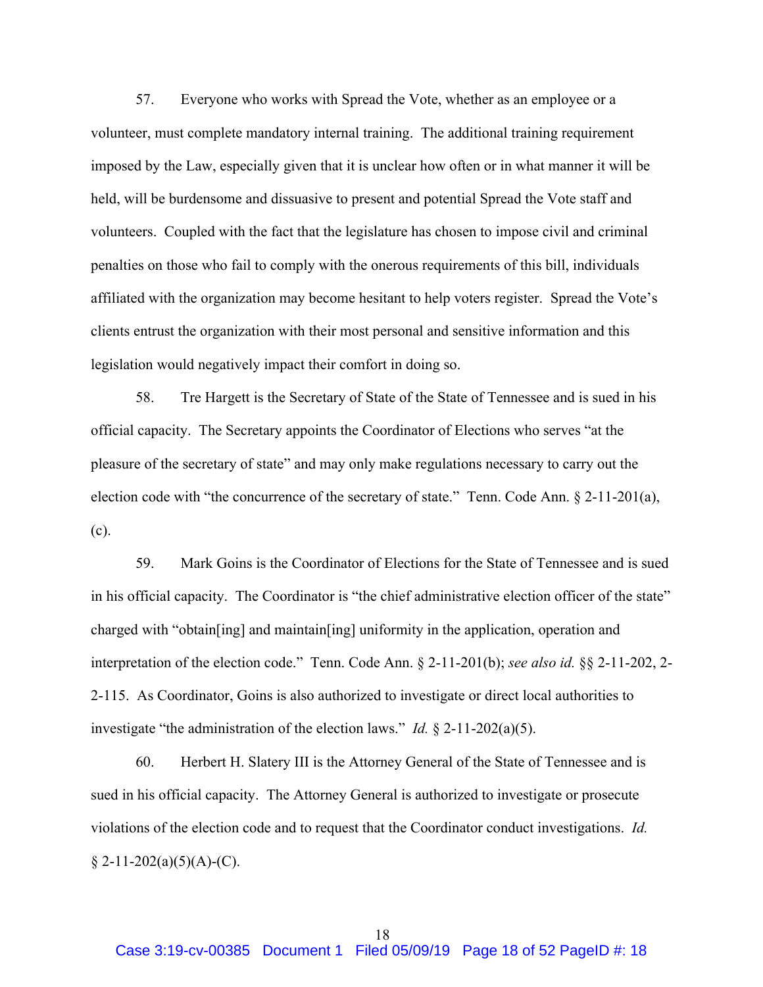57. Everyone who works with Spread the Vote, whether as an employee or a volunteer, must complete mandatory internal training. The additional training requirement imposed by the Law, especially given that it is unclear how often or in what manner it will be held, will be burdensome and dissuasive to present and potential Spread the Vote staff and volunteers. Coupled with the fact that the legislature has chosen to impose civil and criminal penalties on those who fail to comply with the onerous requirements of this bill, individuals affiliated with the organization may become hesitant to help voters register. Spread the Vote's clients entrust the organization with their most personal and sensitive information and this legislation would negatively impact their comfort in doing so.

58. Tre Hargett is the Secretary of State of the State of Tennessee and is sued in his official capacity. The Secretary appoints the Coordinator of Elections who serves "at the pleasure of the secretary of state" and may only make regulations necessary to carry out the election code with "the concurrence of the secretary of state." Tenn. Code Ann. § 2-11-201(a), (c).

59. Mark Goins is the Coordinator of Elections for the State of Tennessee and is sued in his official capacity. The Coordinator is "the chief administrative election officer of the state" charged with "obtain[ing] and maintain[ing] uniformity in the application, operation and interpretation of the election code." Tenn. Code Ann. § 2-11-201(b); *see also id.* §§ 2-11-202, 2- 2-115. As Coordinator, Goins is also authorized to investigate or direct local authorities to investigate "the administration of the election laws." *Id.* § 2-11-202(a)(5).

60. Herbert H. Slatery III is the Attorney General of the State of Tennessee and is sued in his official capacity. The Attorney General is authorized to investigate or prosecute violations of the election code and to request that the Coordinator conduct investigations. *Id.*  $§ 2-11-202(a)(5)(A)-(C).$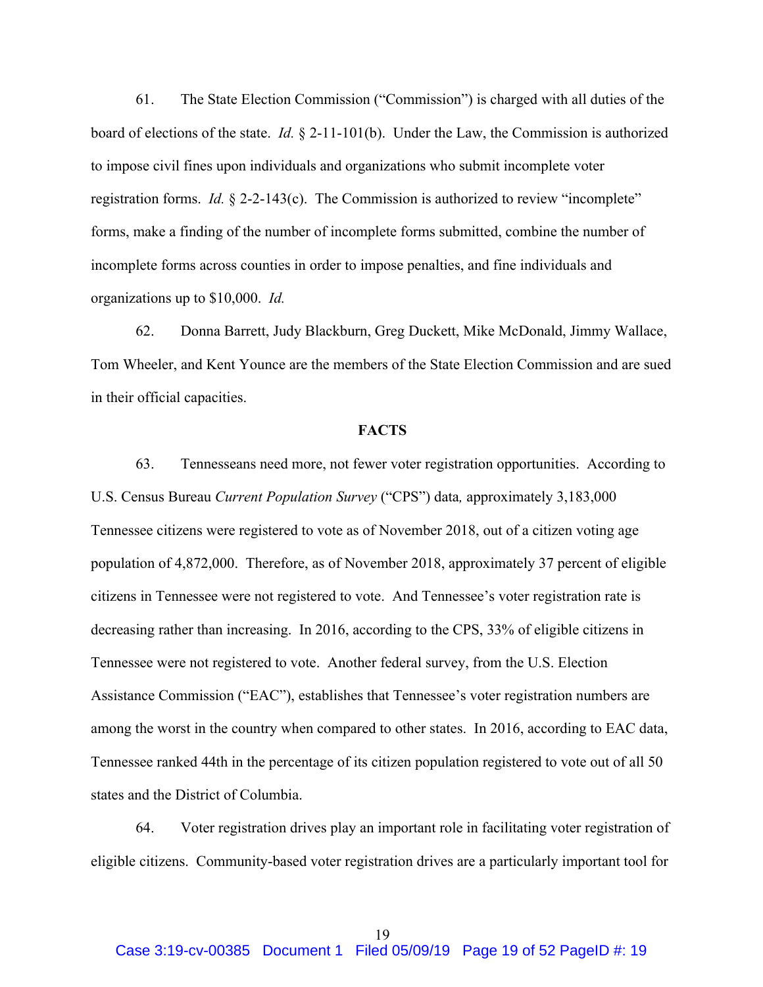61. The State Election Commission ("Commission") is charged with all duties of the board of elections of the state. *Id.* § 2-11-101(b). Under the Law, the Commission is authorized to impose civil fines upon individuals and organizations who submit incomplete voter registration forms. *Id.* § 2-2-143(c). The Commission is authorized to review "incomplete" forms, make a finding of the number of incomplete forms submitted, combine the number of incomplete forms across counties in order to impose penalties, and fine individuals and organizations up to \$10,000. *Id.*

62. Donna Barrett, Judy Blackburn, Greg Duckett, Mike McDonald, Jimmy Wallace, Tom Wheeler, and Kent Younce are the members of the State Election Commission and are sued in their official capacities.

#### **FACTS**

63. Tennesseans need more, not fewer voter registration opportunities. According to U.S. Census Bureau *Current Population Survey* ("CPS") data*,* approximately 3,183,000 Tennessee citizens were registered to vote as of November 2018, out of a citizen voting age population of 4,872,000. Therefore, as of November 2018, approximately 37 percent of eligible citizens in Tennessee were not registered to vote. And Tennessee's voter registration rate is decreasing rather than increasing. In 2016, according to the CPS, 33% of eligible citizens in Tennessee were not registered to vote. Another federal survey, from the U.S. Election Assistance Commission ("EAC"), establishes that Tennessee's voter registration numbers are among the worst in the country when compared to other states. In 2016, according to EAC data, Tennessee ranked 44th in the percentage of its citizen population registered to vote out of all 50 states and the District of Columbia.

64. Voter registration drives play an important role in facilitating voter registration of eligible citizens. Community-based voter registration drives are a particularly important tool for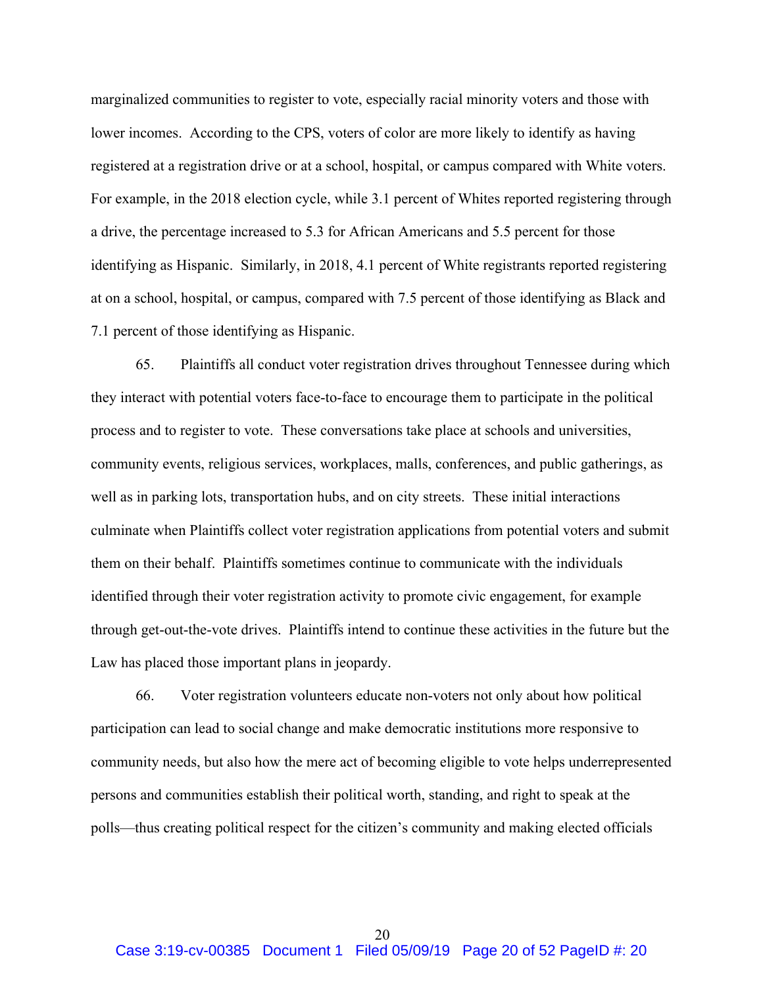marginalized communities to register to vote, especially racial minority voters and those with lower incomes. According to the CPS, voters of color are more likely to identify as having registered at a registration drive or at a school, hospital, or campus compared with White voters. For example, in the 2018 election cycle, while 3.1 percent of Whites reported registering through a drive, the percentage increased to 5.3 for African Americans and 5.5 percent for those identifying as Hispanic. Similarly, in 2018, 4.1 percent of White registrants reported registering at on a school, hospital, or campus, compared with 7.5 percent of those identifying as Black and 7.1 percent of those identifying as Hispanic.

65. Plaintiffs all conduct voter registration drives throughout Tennessee during which they interact with potential voters face-to-face to encourage them to participate in the political process and to register to vote. These conversations take place at schools and universities, community events, religious services, workplaces, malls, conferences, and public gatherings, as well as in parking lots, transportation hubs, and on city streets. These initial interactions culminate when Plaintiffs collect voter registration applications from potential voters and submit them on their behalf. Plaintiffs sometimes continue to communicate with the individuals identified through their voter registration activity to promote civic engagement, for example through get-out-the-vote drives. Plaintiffs intend to continue these activities in the future but the Law has placed those important plans in jeopardy.

66. Voter registration volunteers educate non-voters not only about how political participation can lead to social change and make democratic institutions more responsive to community needs, but also how the mere act of becoming eligible to vote helps underrepresented persons and communities establish their political worth, standing, and right to speak at the polls—thus creating political respect for the citizen's community and making elected officials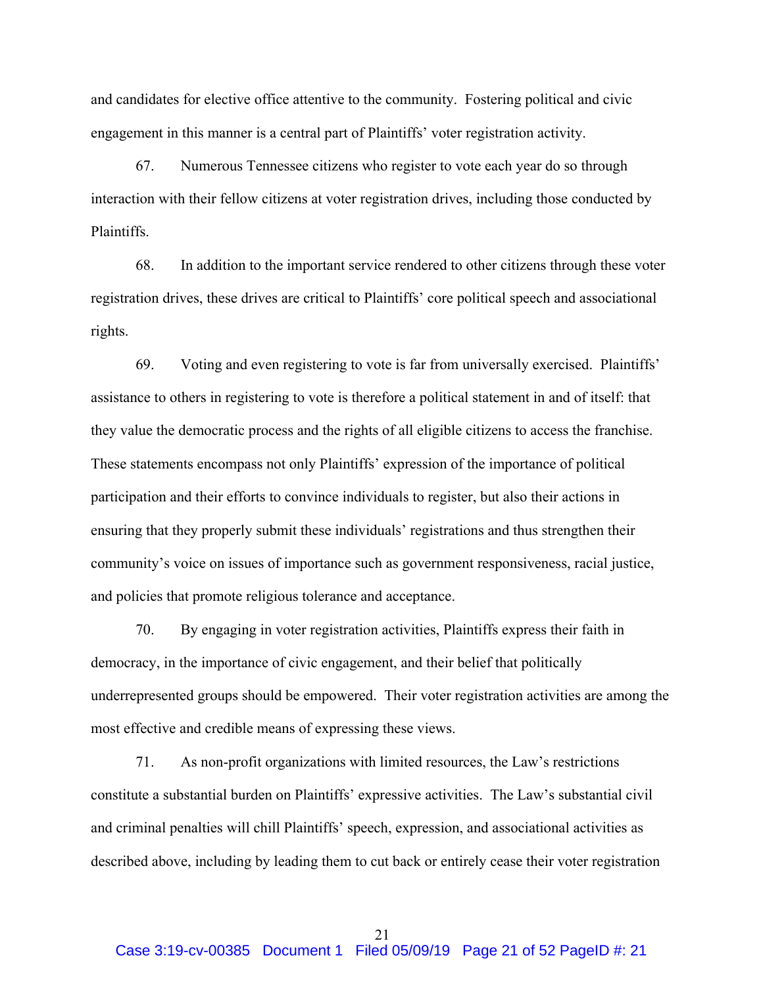and candidates for elective office attentive to the community. Fostering political and civic engagement in this manner is a central part of Plaintiffs' voter registration activity.

67. Numerous Tennessee citizens who register to vote each year do so through interaction with their fellow citizens at voter registration drives, including those conducted by Plaintiffs.

68. In addition to the important service rendered to other citizens through these voter registration drives, these drives are critical to Plaintiffs' core political speech and associational rights.

69. Voting and even registering to vote is far from universally exercised. Plaintiffs' assistance to others in registering to vote is therefore a political statement in and of itself: that they value the democratic process and the rights of all eligible citizens to access the franchise. These statements encompass not only Plaintiffs' expression of the importance of political participation and their efforts to convince individuals to register, but also their actions in ensuring that they properly submit these individuals' registrations and thus strengthen their community's voice on issues of importance such as government responsiveness, racial justice, and policies that promote religious tolerance and acceptance.

70. By engaging in voter registration activities, Plaintiffs express their faith in democracy, in the importance of civic engagement, and their belief that politically underrepresented groups should be empowered. Their voter registration activities are among the most effective and credible means of expressing these views.

71. As non-profit organizations with limited resources, the Law's restrictions constitute a substantial burden on Plaintiffs' expressive activities. The Law's substantial civil and criminal penalties will chill Plaintiffs' speech, expression, and associational activities as described above, including by leading them to cut back or entirely cease their voter registration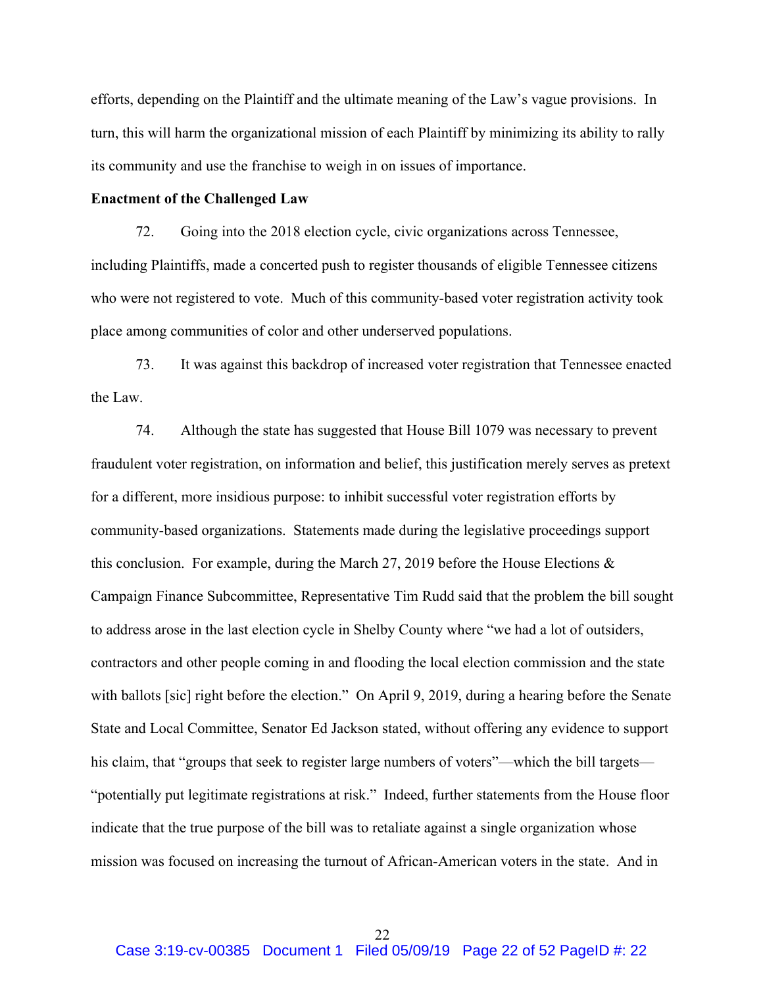efforts, depending on the Plaintiff and the ultimate meaning of the Law's vague provisions. In turn, this will harm the organizational mission of each Plaintiff by minimizing its ability to rally its community and use the franchise to weigh in on issues of importance.

## **Enactment of the Challenged Law**

72. Going into the 2018 election cycle, civic organizations across Tennessee, including Plaintiffs, made a concerted push to register thousands of eligible Tennessee citizens who were not registered to vote. Much of this community-based voter registration activity took place among communities of color and other underserved populations.

73. It was against this backdrop of increased voter registration that Tennessee enacted the Law.

74. Although the state has suggested that House Bill 1079 was necessary to prevent fraudulent voter registration, on information and belief, this justification merely serves as pretext for a different, more insidious purpose: to inhibit successful voter registration efforts by community-based organizations. Statements made during the legislative proceedings support this conclusion. For example, during the March 27, 2019 before the House Elections  $\&$ Campaign Finance Subcommittee, Representative Tim Rudd said that the problem the bill sought to address arose in the last election cycle in Shelby County where "we had a lot of outsiders, contractors and other people coming in and flooding the local election commission and the state with ballots [sic] right before the election." On April 9, 2019, during a hearing before the Senate State and Local Committee, Senator Ed Jackson stated, without offering any evidence to support his claim, that "groups that seek to register large numbers of voters"—which the bill targets— "potentially put legitimate registrations at risk." Indeed, further statements from the House floor indicate that the true purpose of the bill was to retaliate against a single organization whose mission was focused on increasing the turnout of African-American voters in the state. And in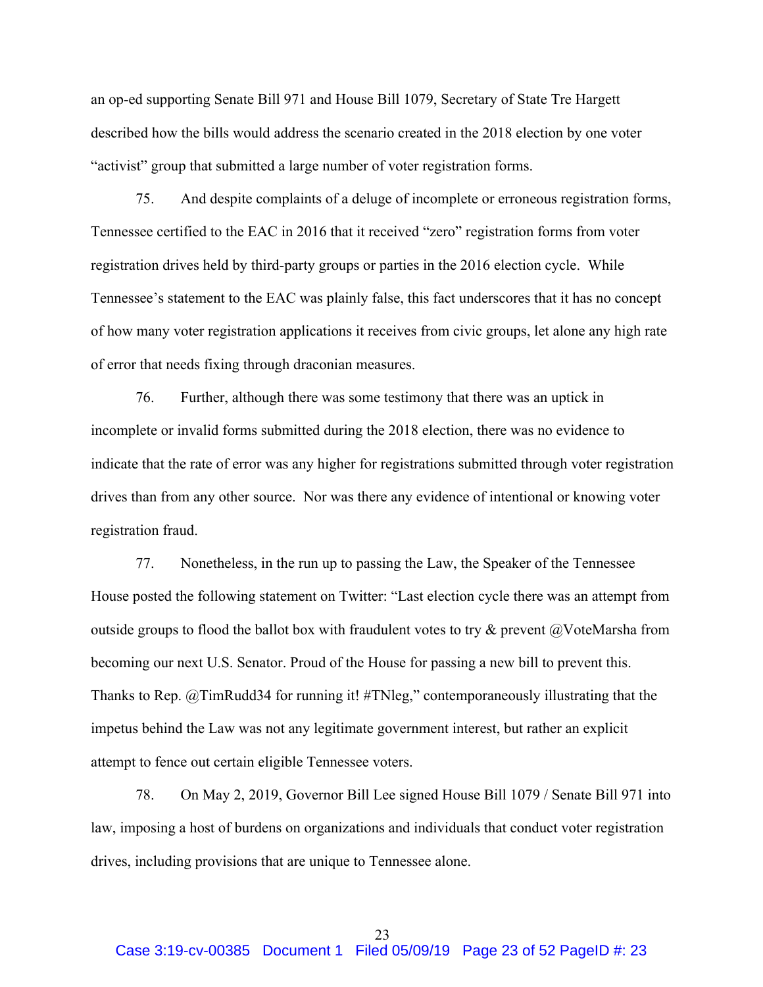an op-ed supporting Senate Bill 971 and House Bill 1079, Secretary of State Tre Hargett described how the bills would address the scenario created in the 2018 election by one voter "activist" group that submitted a large number of voter registration forms.

75. And despite complaints of a deluge of incomplete or erroneous registration forms, Tennessee certified to the EAC in 2016 that it received "zero" registration forms from voter registration drives held by third-party groups or parties in the 2016 election cycle. While Tennessee's statement to the EAC was plainly false, this fact underscores that it has no concept of how many voter registration applications it receives from civic groups, let alone any high rate of error that needs fixing through draconian measures.

76. Further, although there was some testimony that there was an uptick in incomplete or invalid forms submitted during the 2018 election, there was no evidence to indicate that the rate of error was any higher for registrations submitted through voter registration drives than from any other source. Nor was there any evidence of intentional or knowing voter registration fraud.

77. Nonetheless, in the run up to passing the Law, the Speaker of the Tennessee House posted the following statement on Twitter: "Last election cycle there was an attempt from outside groups to flood the ballot box with fraudulent votes to try  $\&$  prevent  $\ω$ VoteMarsha from becoming our next U.S. Senator. Proud of the House for passing a new bill to prevent this. Thanks to Rep. @TimRudd34 for running it! #TNleg," contemporaneously illustrating that the impetus behind the Law was not any legitimate government interest, but rather an explicit attempt to fence out certain eligible Tennessee voters.

78. On May 2, 2019, Governor Bill Lee signed House Bill 1079 / Senate Bill 971 into law, imposing a host of burdens on organizations and individuals that conduct voter registration drives, including provisions that are unique to Tennessee alone.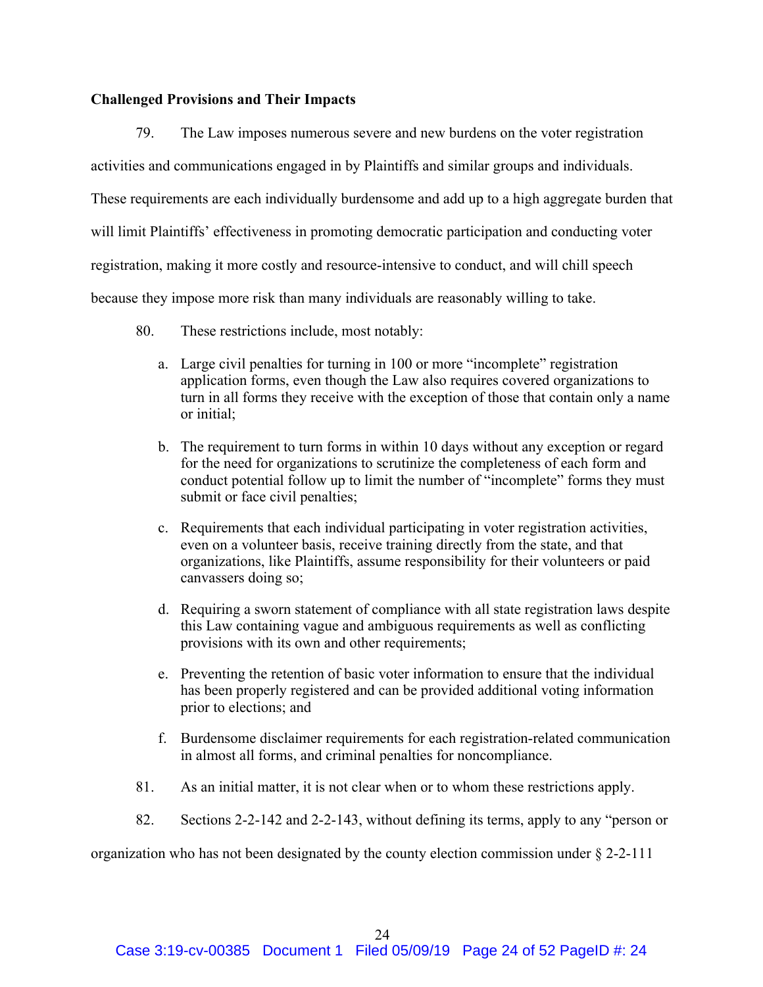### **Challenged Provisions and Their Impacts**

79. The Law imposes numerous severe and new burdens on the voter registration activities and communications engaged in by Plaintiffs and similar groups and individuals. These requirements are each individually burdensome and add up to a high aggregate burden that will limit Plaintiffs' effectiveness in promoting democratic participation and conducting voter registration, making it more costly and resource-intensive to conduct, and will chill speech because they impose more risk than many individuals are reasonably willing to take.

- 80. These restrictions include, most notably:
	- a. Large civil penalties for turning in 100 or more "incomplete" registration application forms, even though the Law also requires covered organizations to turn in all forms they receive with the exception of those that contain only a name or initial;
	- b. The requirement to turn forms in within 10 days without any exception or regard for the need for organizations to scrutinize the completeness of each form and conduct potential follow up to limit the number of "incomplete" forms they must submit or face civil penalties;
	- c. Requirements that each individual participating in voter registration activities, even on a volunteer basis, receive training directly from the state, and that organizations, like Plaintiffs, assume responsibility for their volunteers or paid canvassers doing so;
	- d. Requiring a sworn statement of compliance with all state registration laws despite this Law containing vague and ambiguous requirements as well as conflicting provisions with its own and other requirements;
	- e. Preventing the retention of basic voter information to ensure that the individual has been properly registered and can be provided additional voting information prior to elections; and
	- f. Burdensome disclaimer requirements for each registration-related communication in almost all forms, and criminal penalties for noncompliance.
- 81. As an initial matter, it is not clear when or to whom these restrictions apply.
- 82. Sections 2-2-142 and 2-2-143, without defining its terms, apply to any "person or

organization who has not been designated by the county election commission under  $\S 2-2-111$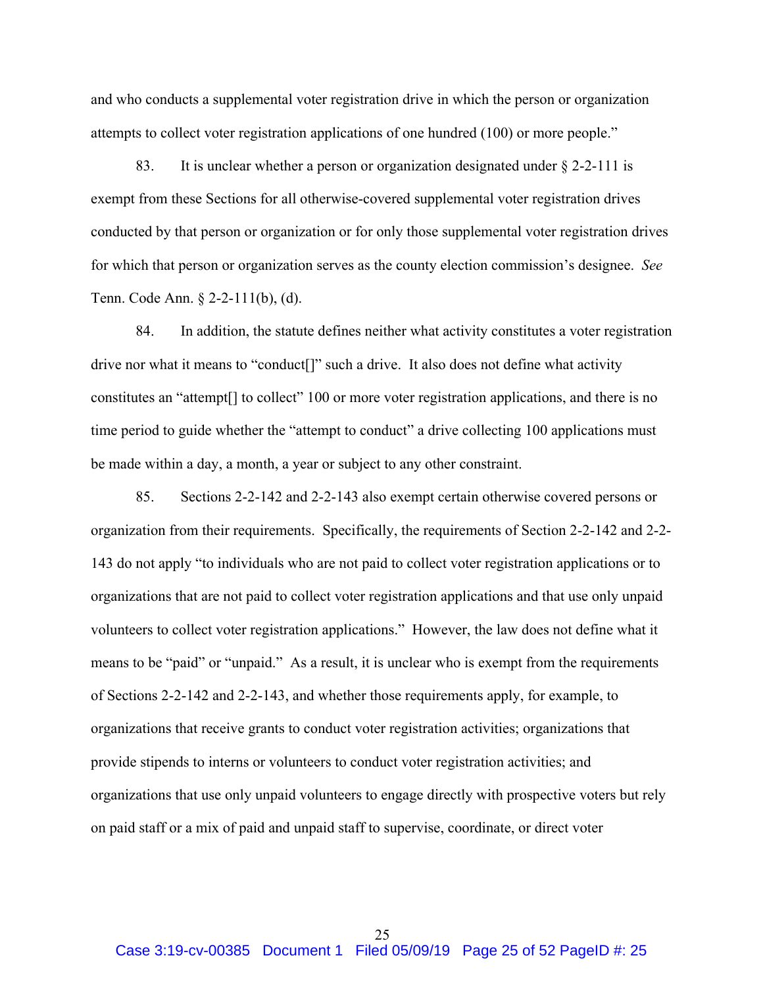and who conducts a supplemental voter registration drive in which the person or organization attempts to collect voter registration applications of one hundred (100) or more people."

83. It is unclear whether a person or organization designated under § 2-2-111 is exempt from these Sections for all otherwise-covered supplemental voter registration drives conducted by that person or organization or for only those supplemental voter registration drives for which that person or organization serves as the county election commission's designee. *See*  Tenn. Code Ann. § 2-2-111(b), (d).

84. In addition, the statute defines neither what activity constitutes a voter registration drive nor what it means to "conduct[]" such a drive. It also does not define what activity constitutes an "attempt[] to collect" 100 or more voter registration applications, and there is no time period to guide whether the "attempt to conduct" a drive collecting 100 applications must be made within a day, a month, a year or subject to any other constraint.

85. Sections 2-2-142 and 2-2-143 also exempt certain otherwise covered persons or organization from their requirements. Specifically, the requirements of Section 2-2-142 and 2-2- 143 do not apply "to individuals who are not paid to collect voter registration applications or to organizations that are not paid to collect voter registration applications and that use only unpaid volunteers to collect voter registration applications." However, the law does not define what it means to be "paid" or "unpaid." As a result, it is unclear who is exempt from the requirements of Sections 2-2-142 and 2-2-143, and whether those requirements apply, for example, to organizations that receive grants to conduct voter registration activities; organizations that provide stipends to interns or volunteers to conduct voter registration activities; and organizations that use only unpaid volunteers to engage directly with prospective voters but rely on paid staff or a mix of paid and unpaid staff to supervise, coordinate, or direct voter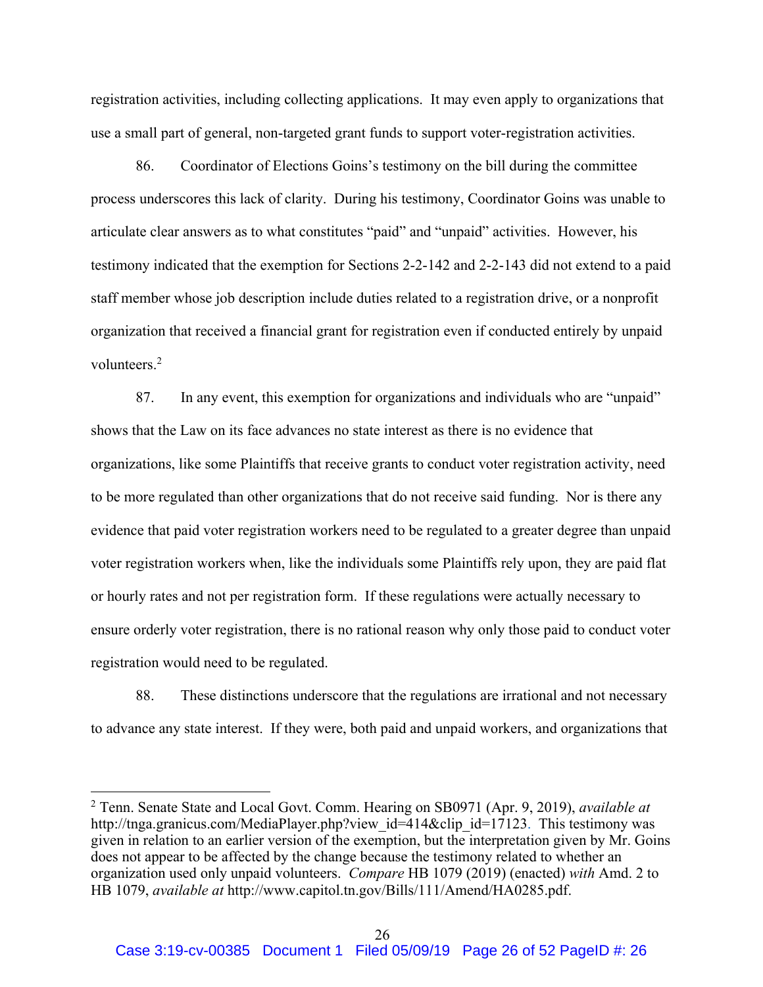registration activities, including collecting applications. It may even apply to organizations that use a small part of general, non-targeted grant funds to support voter-registration activities.

86. Coordinator of Elections Goins's testimony on the bill during the committee process underscores this lack of clarity. During his testimony, Coordinator Goins was unable to articulate clear answers as to what constitutes "paid" and "unpaid" activities. However, his testimony indicated that the exemption for Sections 2-2-142 and 2-2-143 did not extend to a paid staff member whose job description include duties related to a registration drive, or a nonprofit organization that received a financial grant for registration even if conducted entirely by unpaid volunteers.<sup>2</sup>

87. In any event, this exemption for organizations and individuals who are "unpaid" shows that the Law on its face advances no state interest as there is no evidence that organizations, like some Plaintiffs that receive grants to conduct voter registration activity, need to be more regulated than other organizations that do not receive said funding. Nor is there any evidence that paid voter registration workers need to be regulated to a greater degree than unpaid voter registration workers when, like the individuals some Plaintiffs rely upon, they are paid flat or hourly rates and not per registration form. If these regulations were actually necessary to ensure orderly voter registration, there is no rational reason why only those paid to conduct voter registration would need to be regulated.

88. These distinctions underscore that the regulations are irrational and not necessary to advance any state interest. If they were, both paid and unpaid workers, and organizations that

 <sup>2</sup> Tenn. Senate State and Local Govt. Comm. Hearing on SB0971 (Apr. 9, 2019), *available at* http://tnga.granicus.com/MediaPlayer.php?view id=414&clip id=17123. This testimony was given in relation to an earlier version of the exemption, but the interpretation given by Mr. Goins does not appear to be affected by the change because the testimony related to whether an organization used only unpaid volunteers. *Compare* HB 1079 (2019) (enacted) *with* Amd. 2 to HB 1079, *available at* http://www.capitol.tn.gov/Bills/111/Amend/HA0285.pdf.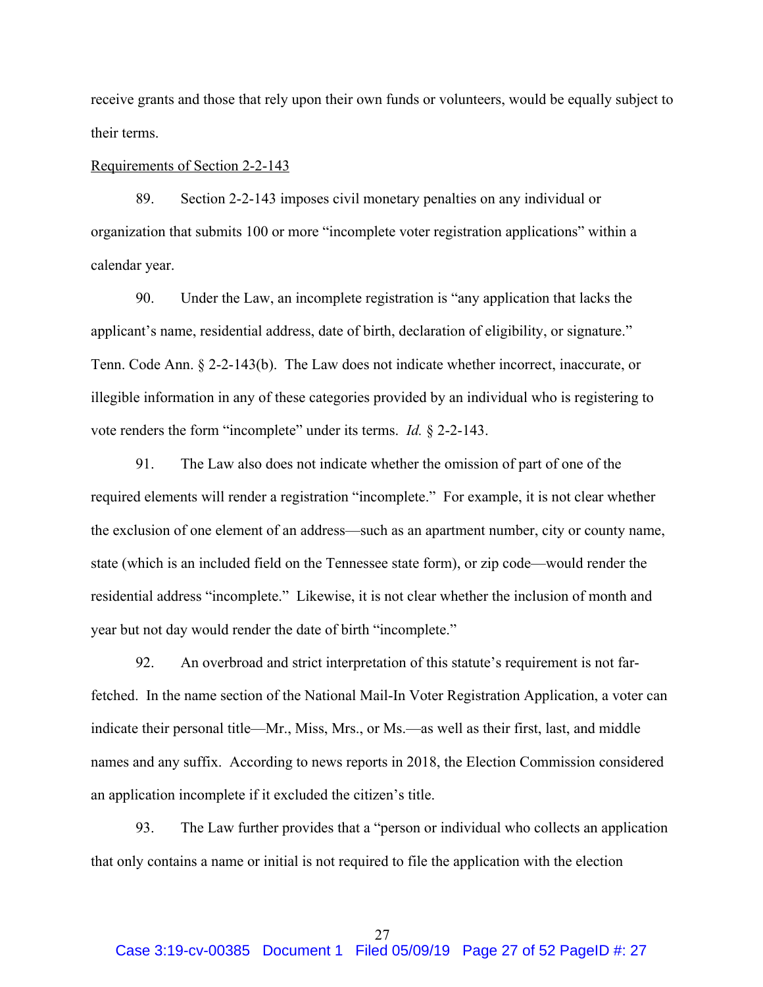receive grants and those that rely upon their own funds or volunteers, would be equally subject to their terms.

#### Requirements of Section 2-2-143

89. Section 2-2-143 imposes civil monetary penalties on any individual or organization that submits 100 or more "incomplete voter registration applications" within a calendar year.

90. Under the Law, an incomplete registration is "any application that lacks the applicant's name, residential address, date of birth, declaration of eligibility, or signature." Tenn. Code Ann. § 2-2-143(b). The Law does not indicate whether incorrect, inaccurate, or illegible information in any of these categories provided by an individual who is registering to vote renders the form "incomplete" under its terms. *Id.* § 2-2-143.

91. The Law also does not indicate whether the omission of part of one of the required elements will render a registration "incomplete." For example, it is not clear whether the exclusion of one element of an address—such as an apartment number, city or county name, state (which is an included field on the Tennessee state form), or zip code—would render the residential address "incomplete." Likewise, it is not clear whether the inclusion of month and year but not day would render the date of birth "incomplete."

92. An overbroad and strict interpretation of this statute's requirement is not farfetched. In the name section of the National Mail-In Voter Registration Application, a voter can indicate their personal title—Mr., Miss, Mrs., or Ms.—as well as their first, last, and middle names and any suffix. According to news reports in 2018, the Election Commission considered an application incomplete if it excluded the citizen's title.

93. The Law further provides that a "person or individual who collects an application that only contains a name or initial is not required to file the application with the election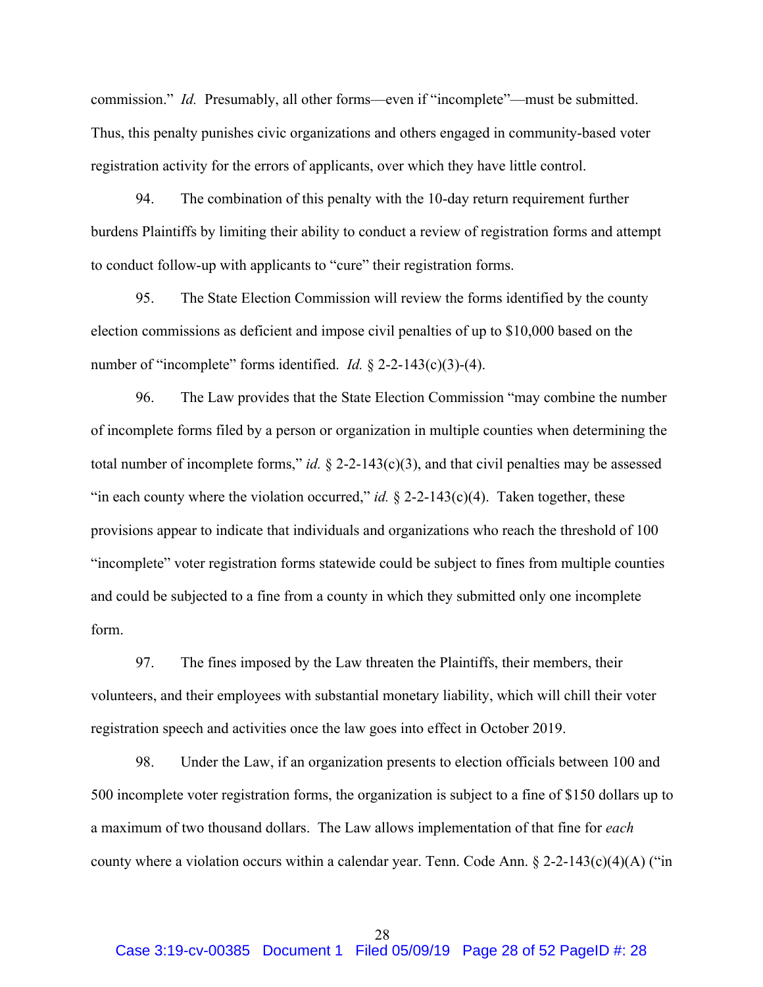commission." *Id.* Presumably, all other forms—even if "incomplete"—must be submitted. Thus, this penalty punishes civic organizations and others engaged in community-based voter registration activity for the errors of applicants, over which they have little control.

94. The combination of this penalty with the 10-day return requirement further burdens Plaintiffs by limiting their ability to conduct a review of registration forms and attempt to conduct follow-up with applicants to "cure" their registration forms.

95. The State Election Commission will review the forms identified by the county election commissions as deficient and impose civil penalties of up to \$10,000 based on the number of "incomplete" forms identified. *Id.* § 2-2-143(c)(3)-(4).

96. The Law provides that the State Election Commission "may combine the number of incomplete forms filed by a person or organization in multiple counties when determining the total number of incomplete forms," *id.*  $\S$  2-2-143(c)(3), and that civil penalties may be assessed "in each county where the violation occurred," *id.*  $\S$  2-2-143(c)(4). Taken together, these provisions appear to indicate that individuals and organizations who reach the threshold of 100 "incomplete" voter registration forms statewide could be subject to fines from multiple counties and could be subjected to a fine from a county in which they submitted only one incomplete form.

97. The fines imposed by the Law threaten the Plaintiffs, their members, their volunteers, and their employees with substantial monetary liability, which will chill their voter registration speech and activities once the law goes into effect in October 2019.

98. Under the Law, if an organization presents to election officials between 100 and 500 incomplete voter registration forms, the organization is subject to a fine of \$150 dollars up to a maximum of two thousand dollars. The Law allows implementation of that fine for *each* county where a violation occurs within a calendar year. Tenn. Code Ann.  $\S 2$ -2-143(c)(4)(A) ("in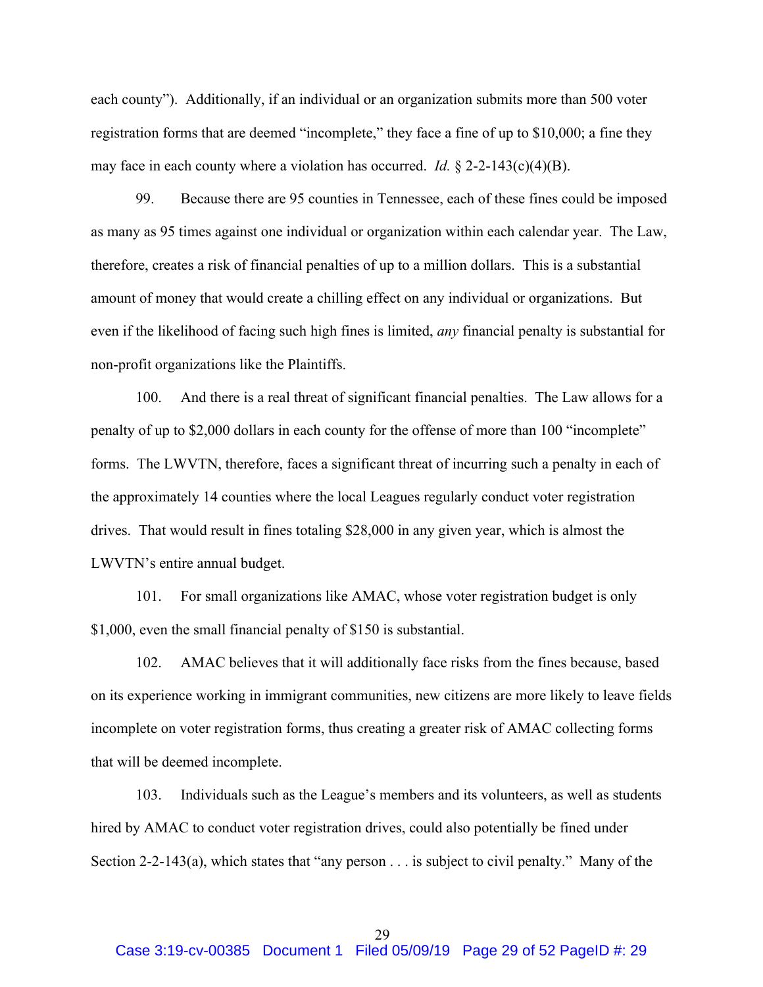each county"). Additionally, if an individual or an organization submits more than 500 voter registration forms that are deemed "incomplete," they face a fine of up to \$10,000; a fine they may face in each county where a violation has occurred. *Id.* § 2-2-143(c)(4)(B).

99. Because there are 95 counties in Tennessee, each of these fines could be imposed as many as 95 times against one individual or organization within each calendar year. The Law, therefore, creates a risk of financial penalties of up to a million dollars. This is a substantial amount of money that would create a chilling effect on any individual or organizations. But even if the likelihood of facing such high fines is limited, *any* financial penalty is substantial for non-profit organizations like the Plaintiffs.

100. And there is a real threat of significant financial penalties. The Law allows for a penalty of up to \$2,000 dollars in each county for the offense of more than 100 "incomplete" forms. The LWVTN, therefore, faces a significant threat of incurring such a penalty in each of the approximately 14 counties where the local Leagues regularly conduct voter registration drives. That would result in fines totaling \$28,000 in any given year, which is almost the LWVTN's entire annual budget.

101. For small organizations like AMAC, whose voter registration budget is only \$1,000, even the small financial penalty of \$150 is substantial.

102. AMAC believes that it will additionally face risks from the fines because, based on its experience working in immigrant communities, new citizens are more likely to leave fields incomplete on voter registration forms, thus creating a greater risk of AMAC collecting forms that will be deemed incomplete.

103. Individuals such as the League's members and its volunteers, as well as students hired by AMAC to conduct voter registration drives, could also potentially be fined under Section 2-2-143(a), which states that "any person . . . is subject to civil penalty." Many of the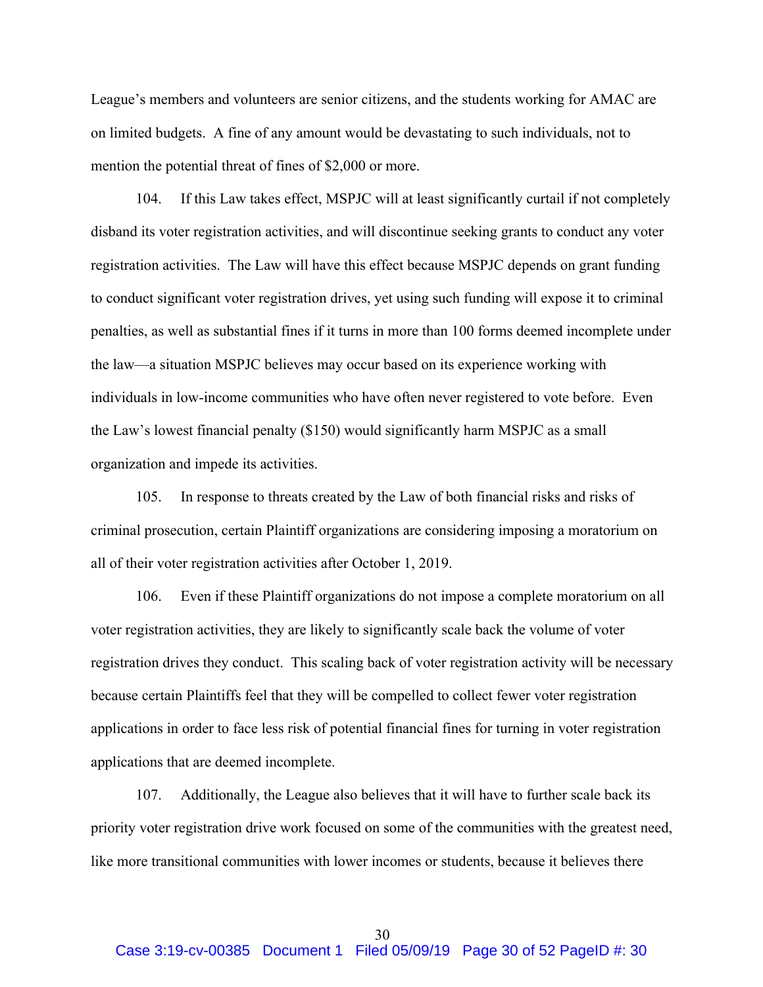League's members and volunteers are senior citizens, and the students working for AMAC are on limited budgets. A fine of any amount would be devastating to such individuals, not to mention the potential threat of fines of \$2,000 or more.

104. If this Law takes effect, MSPJC will at least significantly curtail if not completely disband its voter registration activities, and will discontinue seeking grants to conduct any voter registration activities. The Law will have this effect because MSPJC depends on grant funding to conduct significant voter registration drives, yet using such funding will expose it to criminal penalties, as well as substantial fines if it turns in more than 100 forms deemed incomplete under the law—a situation MSPJC believes may occur based on its experience working with individuals in low-income communities who have often never registered to vote before. Even the Law's lowest financial penalty (\$150) would significantly harm MSPJC as a small organization and impede its activities.

105. In response to threats created by the Law of both financial risks and risks of criminal prosecution, certain Plaintiff organizations are considering imposing a moratorium on all of their voter registration activities after October 1, 2019.

106. Even if these Plaintiff organizations do not impose a complete moratorium on all voter registration activities, they are likely to significantly scale back the volume of voter registration drives they conduct. This scaling back of voter registration activity will be necessary because certain Plaintiffs feel that they will be compelled to collect fewer voter registration applications in order to face less risk of potential financial fines for turning in voter registration applications that are deemed incomplete.

107. Additionally, the League also believes that it will have to further scale back its priority voter registration drive work focused on some of the communities with the greatest need, like more transitional communities with lower incomes or students, because it believes there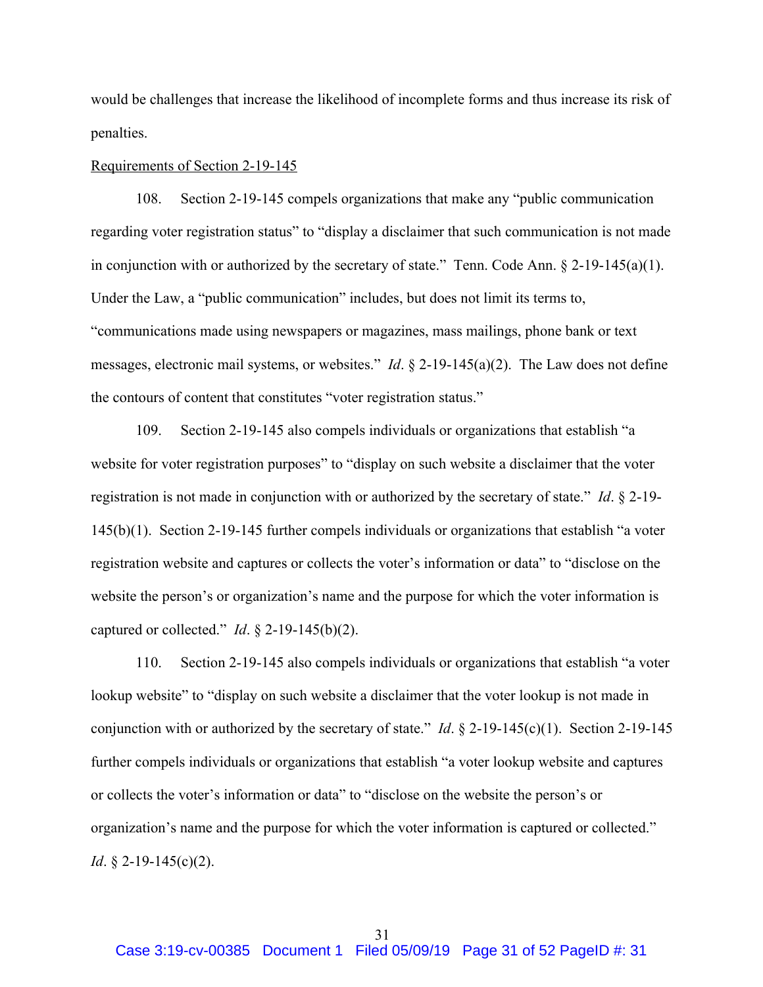would be challenges that increase the likelihood of incomplete forms and thus increase its risk of penalties.

#### Requirements of Section 2-19-145

108. Section 2-19-145 compels organizations that make any "public communication regarding voter registration status" to "display a disclaimer that such communication is not made in conjunction with or authorized by the secretary of state." Tenn. Code Ann.  $\S 2$ -19-145(a)(1). Under the Law, a "public communication" includes, but does not limit its terms to, "communications made using newspapers or magazines, mass mailings, phone bank or text messages, electronic mail systems, or websites." *Id*. § 2-19-145(a)(2). The Law does not define the contours of content that constitutes "voter registration status."

109. Section 2-19-145 also compels individuals or organizations that establish "a website for voter registration purposes" to "display on such website a disclaimer that the voter registration is not made in conjunction with or authorized by the secretary of state." *Id*. § 2-19- 145(b)(1). Section 2-19-145 further compels individuals or organizations that establish "a voter registration website and captures or collects the voter's information or data" to "disclose on the website the person's or organization's name and the purpose for which the voter information is captured or collected." *Id*. § 2-19-145(b)(2).

110. Section 2-19-145 also compels individuals or organizations that establish "a voter lookup website" to "display on such website a disclaimer that the voter lookup is not made in conjunction with or authorized by the secretary of state." *Id*. § 2-19-145(c)(1). Section 2-19-145 further compels individuals or organizations that establish "a voter lookup website and captures or collects the voter's information or data" to "disclose on the website the person's or organization's name and the purpose for which the voter information is captured or collected." *Id*. § 2-19-145(c)(2).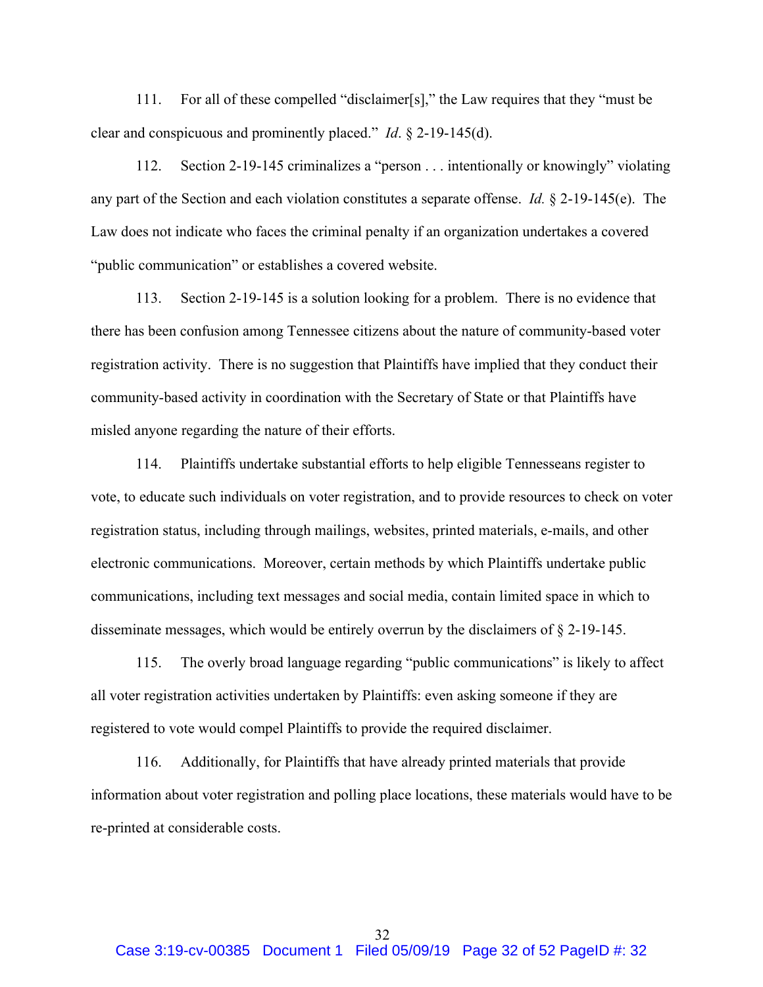111. For all of these compelled "disclaimer[s]," the Law requires that they "must be clear and conspicuous and prominently placed." *Id*. § 2-19-145(d).

112. Section 2-19-145 criminalizes a "person . . . intentionally or knowingly" violating any part of the Section and each violation constitutes a separate offense. *Id.* § 2-19-145(e). The Law does not indicate who faces the criminal penalty if an organization undertakes a covered "public communication" or establishes a covered website.

113. Section 2-19-145 is a solution looking for a problem. There is no evidence that there has been confusion among Tennessee citizens about the nature of community-based voter registration activity. There is no suggestion that Plaintiffs have implied that they conduct their community-based activity in coordination with the Secretary of State or that Plaintiffs have misled anyone regarding the nature of their efforts.

114. Plaintiffs undertake substantial efforts to help eligible Tennesseans register to vote, to educate such individuals on voter registration, and to provide resources to check on voter registration status, including through mailings, websites, printed materials, e-mails, and other electronic communications. Moreover, certain methods by which Plaintiffs undertake public communications, including text messages and social media, contain limited space in which to disseminate messages, which would be entirely overrun by the disclaimers of § 2-19-145.

115. The overly broad language regarding "public communications" is likely to affect all voter registration activities undertaken by Plaintiffs: even asking someone if they are registered to vote would compel Plaintiffs to provide the required disclaimer.

116. Additionally, for Plaintiffs that have already printed materials that provide information about voter registration and polling place locations, these materials would have to be re-printed at considerable costs.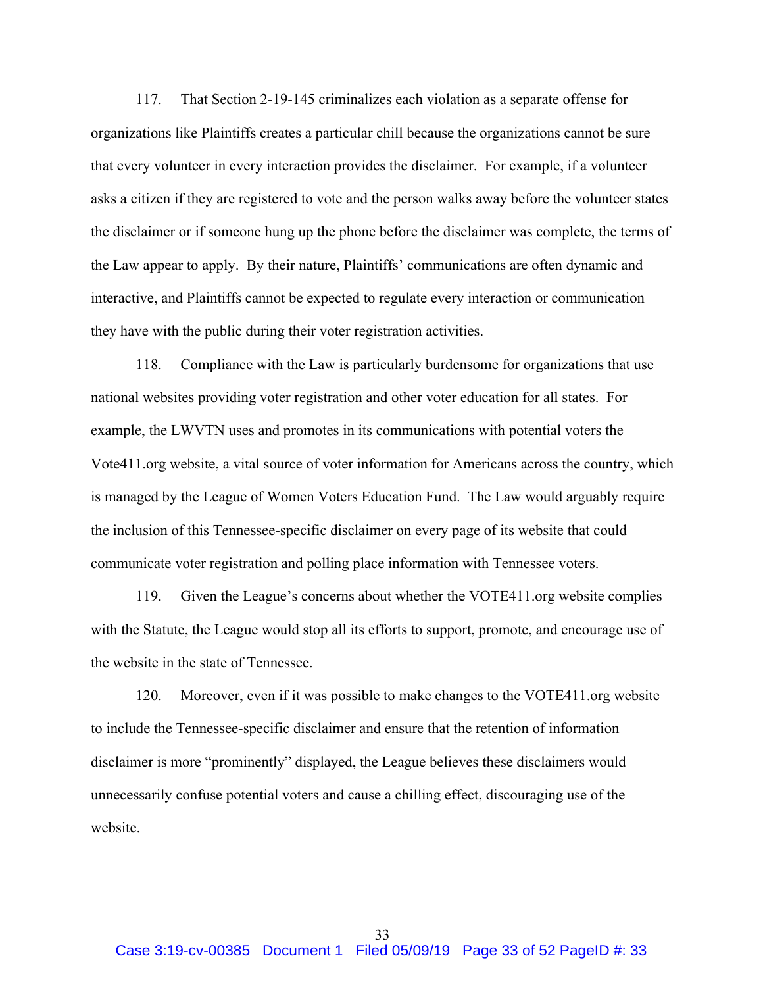117. That Section 2-19-145 criminalizes each violation as a separate offense for organizations like Plaintiffs creates a particular chill because the organizations cannot be sure that every volunteer in every interaction provides the disclaimer. For example, if a volunteer asks a citizen if they are registered to vote and the person walks away before the volunteer states the disclaimer or if someone hung up the phone before the disclaimer was complete, the terms of the Law appear to apply. By their nature, Plaintiffs' communications are often dynamic and interactive, and Plaintiffs cannot be expected to regulate every interaction or communication they have with the public during their voter registration activities.

118. Compliance with the Law is particularly burdensome for organizations that use national websites providing voter registration and other voter education for all states. For example, the LWVTN uses and promotes in its communications with potential voters the Vote411.org website, a vital source of voter information for Americans across the country, which is managed by the League of Women Voters Education Fund. The Law would arguably require the inclusion of this Tennessee-specific disclaimer on every page of its website that could communicate voter registration and polling place information with Tennessee voters.

119. Given the League's concerns about whether the VOTE411.org website complies with the Statute, the League would stop all its efforts to support, promote, and encourage use of the website in the state of Tennessee.

120. Moreover, even if it was possible to make changes to the VOTE411.org website to include the Tennessee-specific disclaimer and ensure that the retention of information disclaimer is more "prominently" displayed, the League believes these disclaimers would unnecessarily confuse potential voters and cause a chilling effect, discouraging use of the website.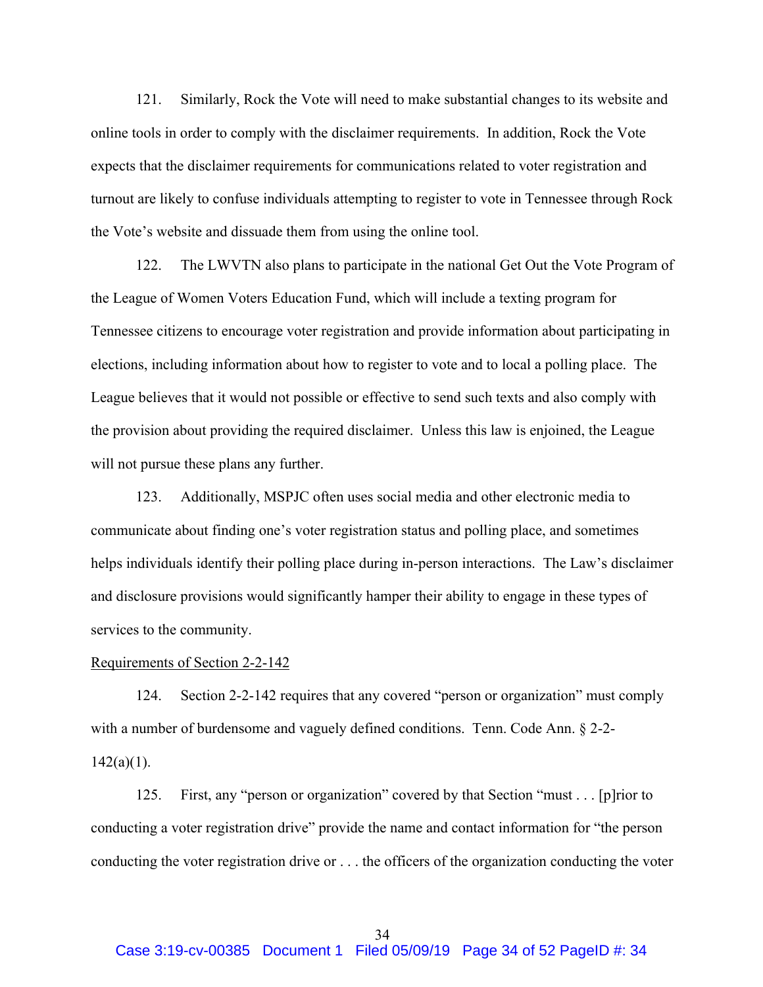121. Similarly, Rock the Vote will need to make substantial changes to its website and online tools in order to comply with the disclaimer requirements. In addition, Rock the Vote expects that the disclaimer requirements for communications related to voter registration and turnout are likely to confuse individuals attempting to register to vote in Tennessee through Rock the Vote's website and dissuade them from using the online tool.

122. The LWVTN also plans to participate in the national Get Out the Vote Program of the League of Women Voters Education Fund, which will include a texting program for Tennessee citizens to encourage voter registration and provide information about participating in elections, including information about how to register to vote and to local a polling place. The League believes that it would not possible or effective to send such texts and also comply with the provision about providing the required disclaimer. Unless this law is enjoined, the League will not pursue these plans any further.

123. Additionally, MSPJC often uses social media and other electronic media to communicate about finding one's voter registration status and polling place, and sometimes helps individuals identify their polling place during in-person interactions. The Law's disclaimer and disclosure provisions would significantly hamper their ability to engage in these types of services to the community.

#### Requirements of Section 2-2-142

124. Section 2-2-142 requires that any covered "person or organization" must comply with a number of burdensome and vaguely defined conditions. Tenn. Code Ann. § 2-2- $142(a)(1)$ .

125. First, any "person or organization" covered by that Section "must . . . [p]rior to conducting a voter registration drive" provide the name and contact information for "the person conducting the voter registration drive or . . . the officers of the organization conducting the voter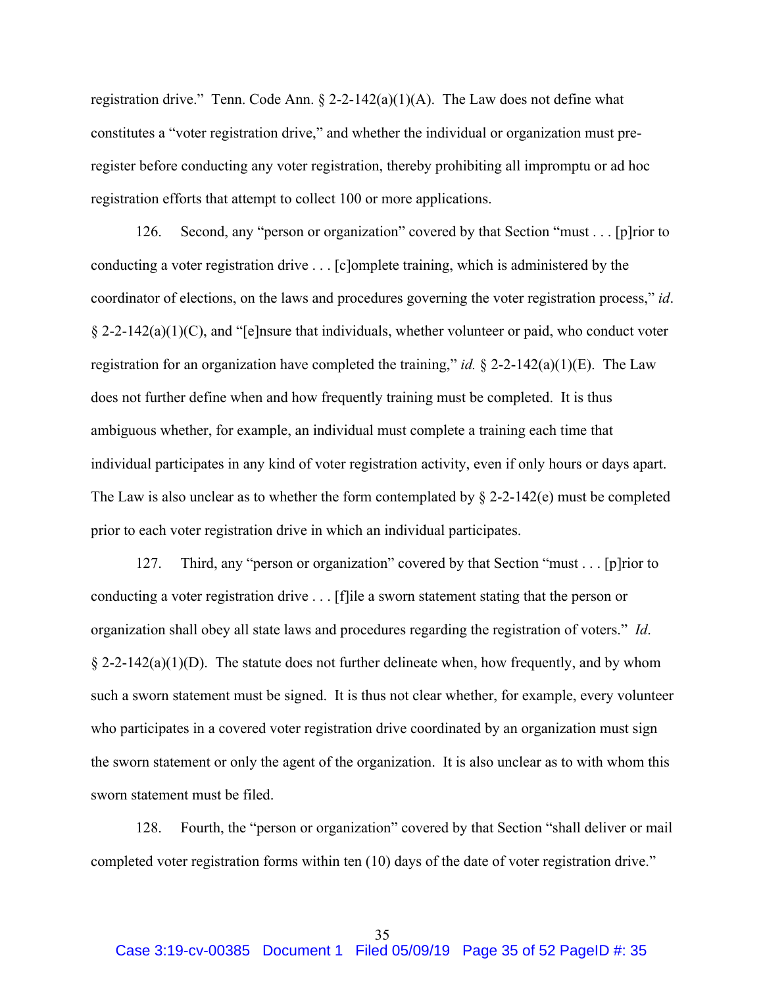registration drive." Tenn. Code Ann.  $\S 2-2-142(a)(1)(A)$ . The Law does not define what constitutes a "voter registration drive," and whether the individual or organization must preregister before conducting any voter registration, thereby prohibiting all impromptu or ad hoc registration efforts that attempt to collect 100 or more applications.

126. Second, any "person or organization" covered by that Section "must . . . [p]rior to conducting a voter registration drive . . . [c]omplete training, which is administered by the coordinator of elections, on the laws and procedures governing the voter registration process," *id*.  $\S 2-2-142(a)(1)(C)$ , and "[e]nsure that individuals, whether volunteer or paid, who conduct voter registration for an organization have completed the training," *id.* § 2-2-142(a)(1)(E). The Law does not further define when and how frequently training must be completed. It is thus ambiguous whether, for example, an individual must complete a training each time that individual participates in any kind of voter registration activity, even if only hours or days apart. The Law is also unclear as to whether the form contemplated by  $\S$  2-2-142(e) must be completed prior to each voter registration drive in which an individual participates.

127. Third, any "person or organization" covered by that Section "must . . . [p]rior to conducting a voter registration drive . . . [f]ile a sworn statement stating that the person or organization shall obey all state laws and procedures regarding the registration of voters." *Id*.  $\S 2$ -2-142(a)(1)(D). The statute does not further delineate when, how frequently, and by whom such a sworn statement must be signed. It is thus not clear whether, for example, every volunteer who participates in a covered voter registration drive coordinated by an organization must sign the sworn statement or only the agent of the organization. It is also unclear as to with whom this sworn statement must be filed.

128. Fourth, the "person or organization" covered by that Section "shall deliver or mail completed voter registration forms within ten (10) days of the date of voter registration drive."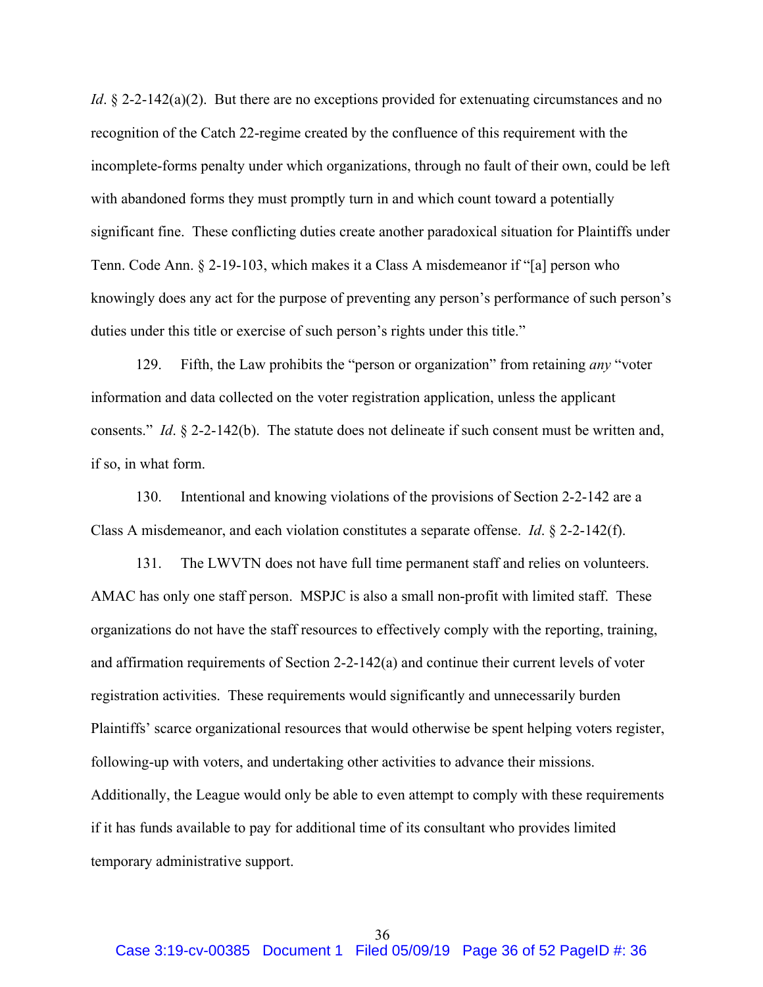*Id*. § 2-2-142(a)(2). But there are no exceptions provided for extenuating circumstances and no recognition of the Catch 22-regime created by the confluence of this requirement with the incomplete-forms penalty under which organizations, through no fault of their own, could be left with abandoned forms they must promptly turn in and which count toward a potentially significant fine. These conflicting duties create another paradoxical situation for Plaintiffs under Tenn. Code Ann. § 2-19-103, which makes it a Class A misdemeanor if "[a] person who knowingly does any act for the purpose of preventing any person's performance of such person's duties under this title or exercise of such person's rights under this title."

129. Fifth, the Law prohibits the "person or organization" from retaining *any* "voter information and data collected on the voter registration application, unless the applicant consents." *Id*. § 2-2-142(b). The statute does not delineate if such consent must be written and, if so, in what form.

130. Intentional and knowing violations of the provisions of Section 2-2-142 are a Class A misdemeanor, and each violation constitutes a separate offense. *Id*. § 2-2-142(f).

131. The LWVTN does not have full time permanent staff and relies on volunteers. AMAC has only one staff person. MSPJC is also a small non-profit with limited staff. These organizations do not have the staff resources to effectively comply with the reporting, training, and affirmation requirements of Section 2-2-142(a) and continue their current levels of voter registration activities. These requirements would significantly and unnecessarily burden Plaintiffs' scarce organizational resources that would otherwise be spent helping voters register, following-up with voters, and undertaking other activities to advance their missions. Additionally, the League would only be able to even attempt to comply with these requirements if it has funds available to pay for additional time of its consultant who provides limited temporary administrative support.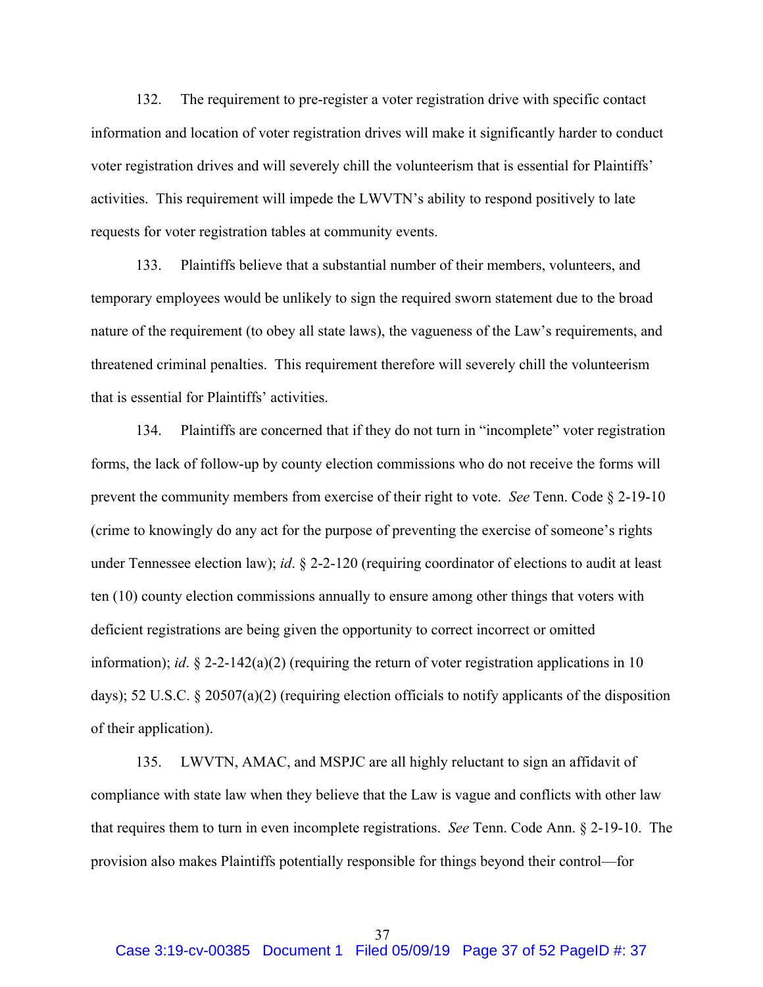132. The requirement to pre-register a voter registration drive with specific contact information and location of voter registration drives will make it significantly harder to conduct voter registration drives and will severely chill the volunteerism that is essential for Plaintiffs' activities. This requirement will impede the LWVTN's ability to respond positively to late requests for voter registration tables at community events.

133. Plaintiffs believe that a substantial number of their members, volunteers, and temporary employees would be unlikely to sign the required sworn statement due to the broad nature of the requirement (to obey all state laws), the vagueness of the Law's requirements, and threatened criminal penalties. This requirement therefore will severely chill the volunteerism that is essential for Plaintiffs' activities.

134. Plaintiffs are concerned that if they do not turn in "incomplete" voter registration forms, the lack of follow-up by county election commissions who do not receive the forms will prevent the community members from exercise of their right to vote. *See* Tenn. Code § 2-19-10 (crime to knowingly do any act for the purpose of preventing the exercise of someone's rights under Tennessee election law); *id*. § 2-2-120 (requiring coordinator of elections to audit at least ten (10) county election commissions annually to ensure among other things that voters with deficient registrations are being given the opportunity to correct incorrect or omitted information); *id*. § 2-2-142(a)(2) (requiring the return of voter registration applications in 10 days); 52 U.S.C. § 20507(a)(2) (requiring election officials to notify applicants of the disposition of their application).

135. LWVTN, AMAC, and MSPJC are all highly reluctant to sign an affidavit of compliance with state law when they believe that the Law is vague and conflicts with other law that requires them to turn in even incomplete registrations. *See* Tenn. Code Ann. § 2-19-10. The provision also makes Plaintiffs potentially responsible for things beyond their control—for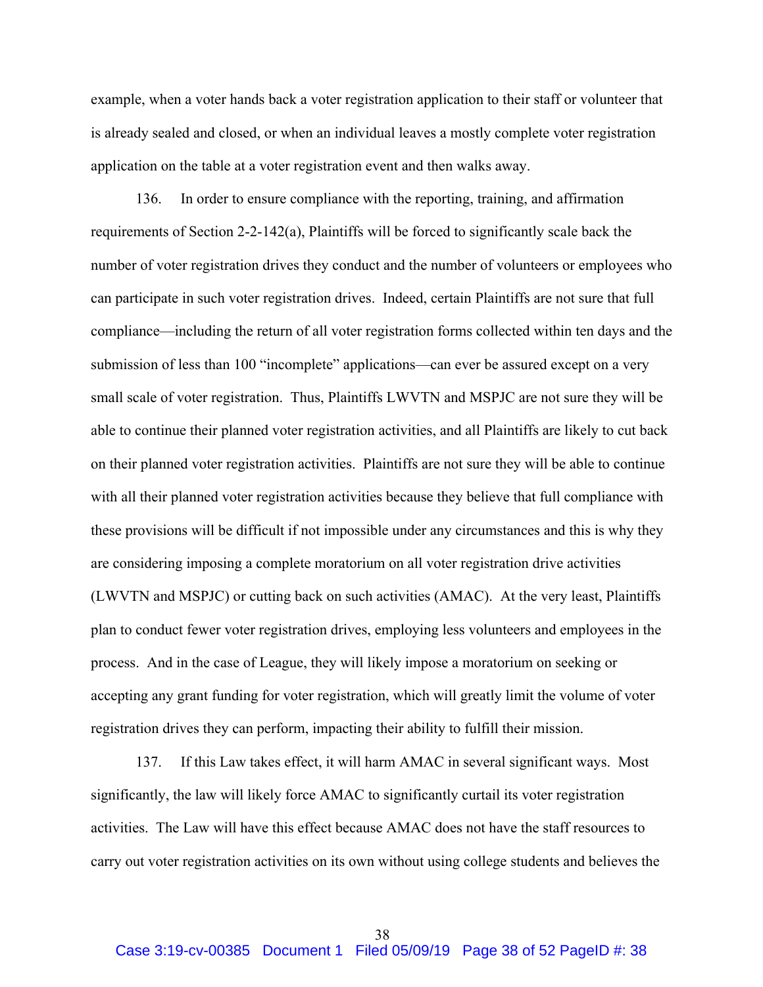example, when a voter hands back a voter registration application to their staff or volunteer that is already sealed and closed, or when an individual leaves a mostly complete voter registration application on the table at a voter registration event and then walks away.

136. In order to ensure compliance with the reporting, training, and affirmation requirements of Section 2-2-142(a), Plaintiffs will be forced to significantly scale back the number of voter registration drives they conduct and the number of volunteers or employees who can participate in such voter registration drives. Indeed, certain Plaintiffs are not sure that full compliance—including the return of all voter registration forms collected within ten days and the submission of less than 100 "incomplete" applications—can ever be assured except on a very small scale of voter registration. Thus, Plaintiffs LWVTN and MSPJC are not sure they will be able to continue their planned voter registration activities, and all Plaintiffs are likely to cut back on their planned voter registration activities. Plaintiffs are not sure they will be able to continue with all their planned voter registration activities because they believe that full compliance with these provisions will be difficult if not impossible under any circumstances and this is why they are considering imposing a complete moratorium on all voter registration drive activities (LWVTN and MSPJC) or cutting back on such activities (AMAC). At the very least, Plaintiffs plan to conduct fewer voter registration drives, employing less volunteers and employees in the process. And in the case of League, they will likely impose a moratorium on seeking or accepting any grant funding for voter registration, which will greatly limit the volume of voter registration drives they can perform, impacting their ability to fulfill their mission.

137. If this Law takes effect, it will harm AMAC in several significant ways. Most significantly, the law will likely force AMAC to significantly curtail its voter registration activities. The Law will have this effect because AMAC does not have the staff resources to carry out voter registration activities on its own without using college students and believes the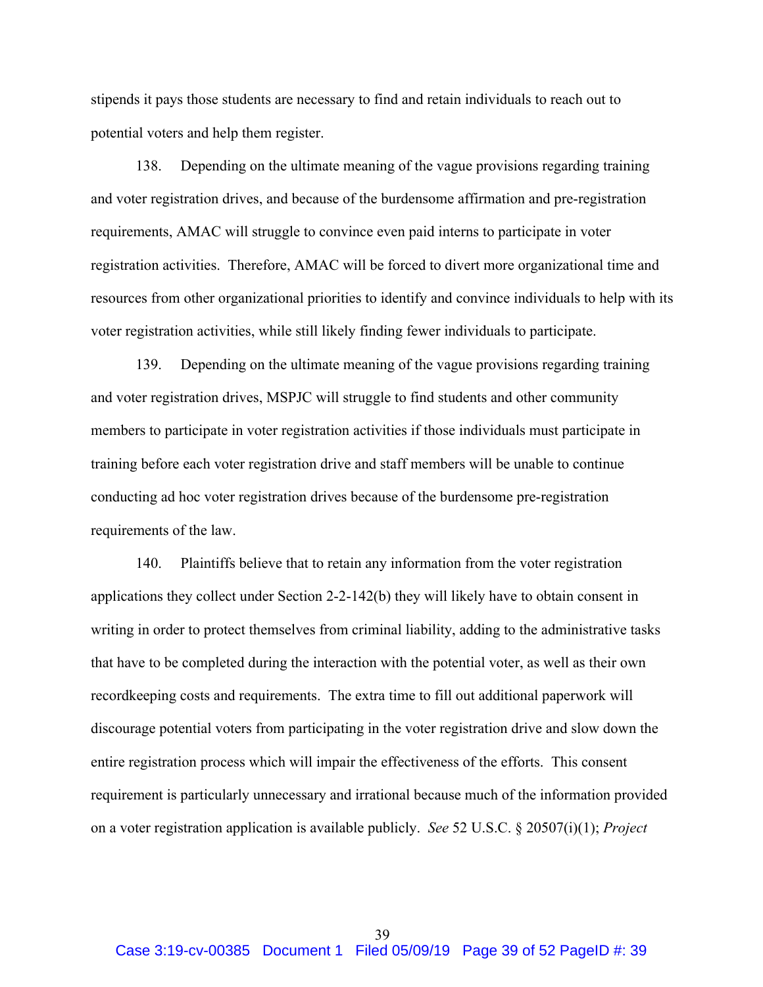stipends it pays those students are necessary to find and retain individuals to reach out to potential voters and help them register.

138. Depending on the ultimate meaning of the vague provisions regarding training and voter registration drives, and because of the burdensome affirmation and pre-registration requirements, AMAC will struggle to convince even paid interns to participate in voter registration activities. Therefore, AMAC will be forced to divert more organizational time and resources from other organizational priorities to identify and convince individuals to help with its voter registration activities, while still likely finding fewer individuals to participate.

139. Depending on the ultimate meaning of the vague provisions regarding training and voter registration drives, MSPJC will struggle to find students and other community members to participate in voter registration activities if those individuals must participate in training before each voter registration drive and staff members will be unable to continue conducting ad hoc voter registration drives because of the burdensome pre-registration requirements of the law.

140. Plaintiffs believe that to retain any information from the voter registration applications they collect under Section 2-2-142(b) they will likely have to obtain consent in writing in order to protect themselves from criminal liability, adding to the administrative tasks that have to be completed during the interaction with the potential voter, as well as their own recordkeeping costs and requirements. The extra time to fill out additional paperwork will discourage potential voters from participating in the voter registration drive and slow down the entire registration process which will impair the effectiveness of the efforts. This consent requirement is particularly unnecessary and irrational because much of the information provided on a voter registration application is available publicly. *See* 52 U.S.C. § 20507(i)(1); *Project*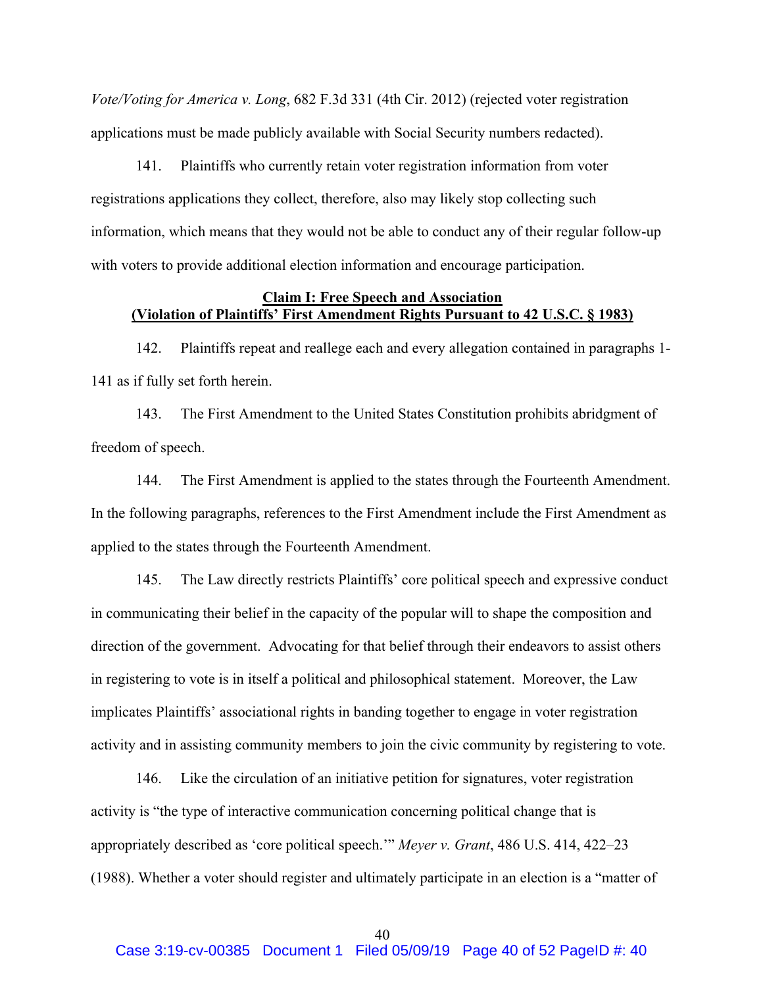*Vote/Voting for America v. Long*, 682 F.3d 331 (4th Cir. 2012) (rejected voter registration applications must be made publicly available with Social Security numbers redacted).

141. Plaintiffs who currently retain voter registration information from voter registrations applications they collect, therefore, also may likely stop collecting such information, which means that they would not be able to conduct any of their regular follow-up with voters to provide additional election information and encourage participation.

## **Claim I: Free Speech and Association (Violation of Plaintiffs' First Amendment Rights Pursuant to 42 U.S.C. § 1983)**

142. Plaintiffs repeat and reallege each and every allegation contained in paragraphs 1- 141 as if fully set forth herein.

143. The First Amendment to the United States Constitution prohibits abridgment of freedom of speech.

144. The First Amendment is applied to the states through the Fourteenth Amendment. In the following paragraphs, references to the First Amendment include the First Amendment as applied to the states through the Fourteenth Amendment.

145. The Law directly restricts Plaintiffs' core political speech and expressive conduct in communicating their belief in the capacity of the popular will to shape the composition and direction of the government. Advocating for that belief through their endeavors to assist others in registering to vote is in itself a political and philosophical statement. Moreover, the Law implicates Plaintiffs' associational rights in banding together to engage in voter registration activity and in assisting community members to join the civic community by registering to vote.

146. Like the circulation of an initiative petition for signatures, voter registration activity is "the type of interactive communication concerning political change that is appropriately described as 'core political speech.'" *Meyer v. Grant*, 486 U.S. 414, 422–23 (1988). Whether a voter should register and ultimately participate in an election is a "matter of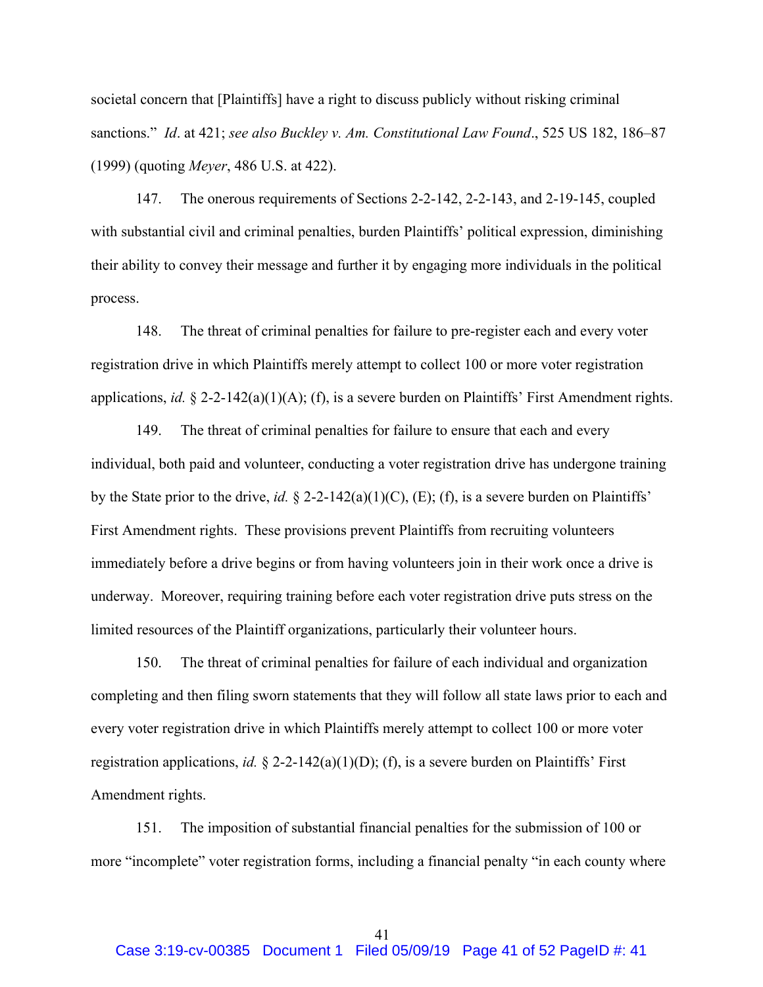societal concern that [Plaintiffs] have a right to discuss publicly without risking criminal sanctions." *Id*. at 421; *see also Buckley v. Am. Constitutional Law Found*., 525 US 182, 186–87 (1999) (quoting *Meyer*, 486 U.S. at 422).

147. The onerous requirements of Sections 2-2-142, 2-2-143, and 2-19-145, coupled with substantial civil and criminal penalties, burden Plaintiffs' political expression, diminishing their ability to convey their message and further it by engaging more individuals in the political process.

148. The threat of criminal penalties for failure to pre-register each and every voter registration drive in which Plaintiffs merely attempt to collect 100 or more voter registration applications, *id.* § 2-2-142(a)(1)(A); (f), is a severe burden on Plaintiffs' First Amendment rights.

149. The threat of criminal penalties for failure to ensure that each and every individual, both paid and volunteer, conducting a voter registration drive has undergone training by the State prior to the drive, *id.* § 2-2-142(a)(1)(C), (E); (f), is a severe burden on Plaintiffs' First Amendment rights. These provisions prevent Plaintiffs from recruiting volunteers immediately before a drive begins or from having volunteers join in their work once a drive is underway. Moreover, requiring training before each voter registration drive puts stress on the limited resources of the Plaintiff organizations, particularly their volunteer hours.

150. The threat of criminal penalties for failure of each individual and organization completing and then filing sworn statements that they will follow all state laws prior to each and every voter registration drive in which Plaintiffs merely attempt to collect 100 or more voter registration applications, *id.* § 2-2-142(a)(1)(D); (f), is a severe burden on Plaintiffs' First Amendment rights.

151. The imposition of substantial financial penalties for the submission of 100 or more "incomplete" voter registration forms, including a financial penalty "in each county where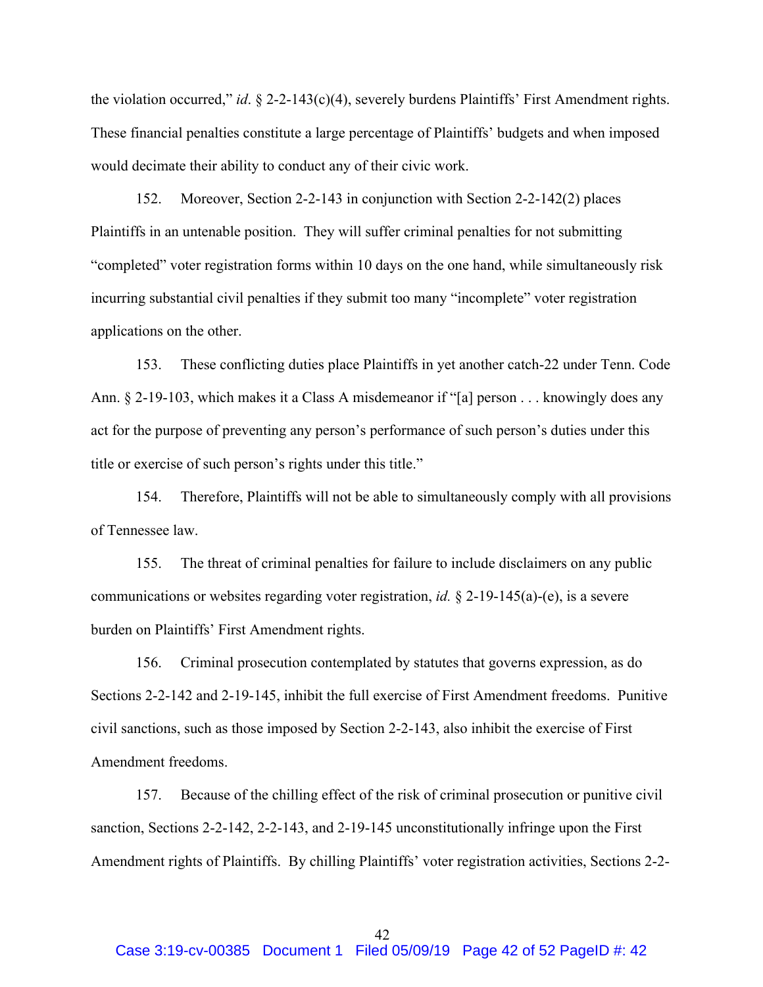the violation occurred," *id*. § 2-2-143(c)(4), severely burdens Plaintiffs' First Amendment rights. These financial penalties constitute a large percentage of Plaintiffs' budgets and when imposed would decimate their ability to conduct any of their civic work.

152. Moreover, Section 2-2-143 in conjunction with Section 2-2-142(2) places Plaintiffs in an untenable position. They will suffer criminal penalties for not submitting "completed" voter registration forms within 10 days on the one hand, while simultaneously risk incurring substantial civil penalties if they submit too many "incomplete" voter registration applications on the other.

153. These conflicting duties place Plaintiffs in yet another catch-22 under Tenn. Code Ann. § 2-19-103, which makes it a Class A misdemeanor if "[a] person . . . knowingly does any act for the purpose of preventing any person's performance of such person's duties under this title or exercise of such person's rights under this title."

154. Therefore, Plaintiffs will not be able to simultaneously comply with all provisions of Tennessee law.

155. The threat of criminal penalties for failure to include disclaimers on any public communications or websites regarding voter registration, *id.* § 2-19-145(a)-(e), is a severe burden on Plaintiffs' First Amendment rights.

156. Criminal prosecution contemplated by statutes that governs expression, as do Sections 2-2-142 and 2-19-145, inhibit the full exercise of First Amendment freedoms. Punitive civil sanctions, such as those imposed by Section 2-2-143, also inhibit the exercise of First Amendment freedoms.

157. Because of the chilling effect of the risk of criminal prosecution or punitive civil sanction, Sections 2-2-142, 2-2-143, and 2-19-145 unconstitutionally infringe upon the First Amendment rights of Plaintiffs. By chilling Plaintiffs' voter registration activities, Sections 2-2-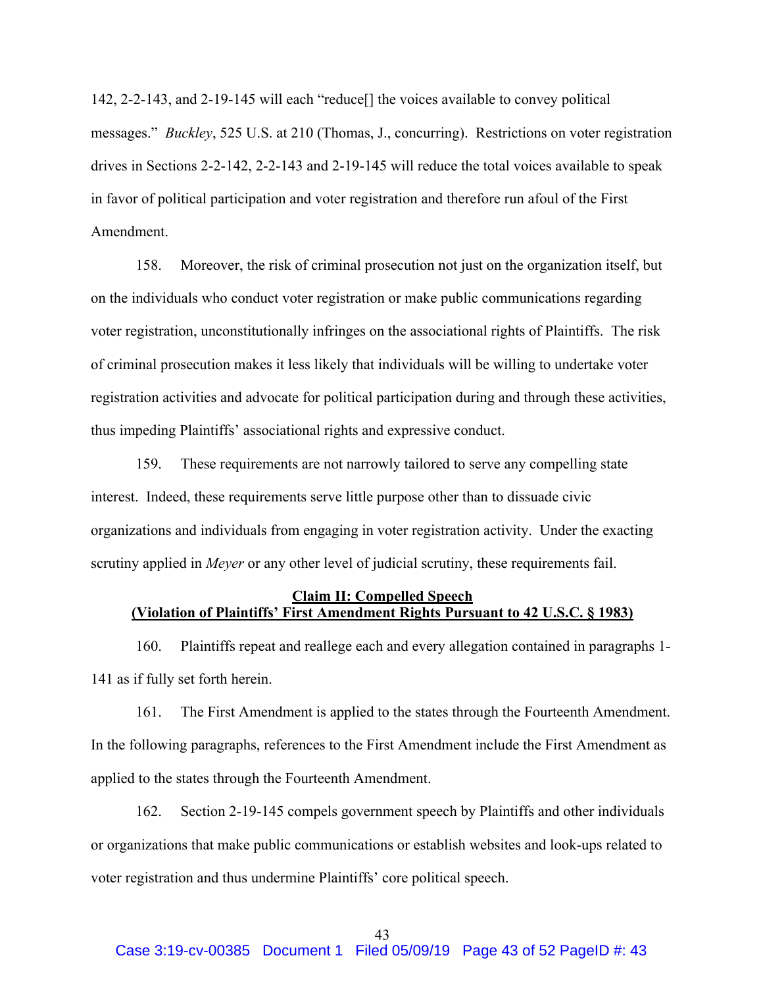142, 2-2-143, and 2-19-145 will each "reduce[] the voices available to convey political messages." *Buckley*, 525 U.S. at 210 (Thomas, J., concurring). Restrictions on voter registration drives in Sections 2-2-142, 2-2-143 and 2-19-145 will reduce the total voices available to speak in favor of political participation and voter registration and therefore run afoul of the First Amendment.

158. Moreover, the risk of criminal prosecution not just on the organization itself, but on the individuals who conduct voter registration or make public communications regarding voter registration, unconstitutionally infringes on the associational rights of Plaintiffs. The risk of criminal prosecution makes it less likely that individuals will be willing to undertake voter registration activities and advocate for political participation during and through these activities, thus impeding Plaintiffs' associational rights and expressive conduct.

159. These requirements are not narrowly tailored to serve any compelling state interest. Indeed, these requirements serve little purpose other than to dissuade civic organizations and individuals from engaging in voter registration activity. Under the exacting scrutiny applied in *Meyer* or any other level of judicial scrutiny, these requirements fail.

## **Claim II: Compelled Speech (Violation of Plaintiffs' First Amendment Rights Pursuant to 42 U.S.C. § 1983)**

160. Plaintiffs repeat and reallege each and every allegation contained in paragraphs 1- 141 as if fully set forth herein.

161. The First Amendment is applied to the states through the Fourteenth Amendment. In the following paragraphs, references to the First Amendment include the First Amendment as applied to the states through the Fourteenth Amendment.

162. Section 2-19-145 compels government speech by Plaintiffs and other individuals or organizations that make public communications or establish websites and look-ups related to voter registration and thus undermine Plaintiffs' core political speech.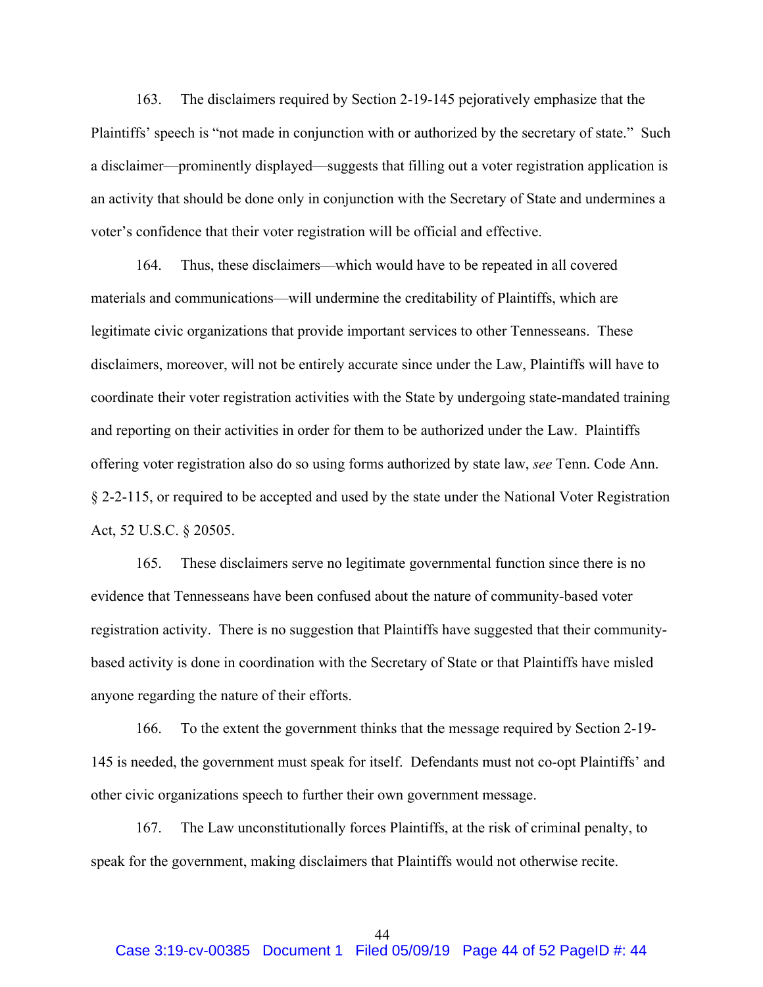163. The disclaimers required by Section 2-19-145 pejoratively emphasize that the Plaintiffs' speech is "not made in conjunction with or authorized by the secretary of state." Such a disclaimer—prominently displayed—suggests that filling out a voter registration application is an activity that should be done only in conjunction with the Secretary of State and undermines a voter's confidence that their voter registration will be official and effective.

164. Thus, these disclaimers—which would have to be repeated in all covered materials and communications—will undermine the creditability of Plaintiffs, which are legitimate civic organizations that provide important services to other Tennesseans. These disclaimers, moreover, will not be entirely accurate since under the Law, Plaintiffs will have to coordinate their voter registration activities with the State by undergoing state-mandated training and reporting on their activities in order for them to be authorized under the Law. Plaintiffs offering voter registration also do so using forms authorized by state law, *see* Tenn. Code Ann. § 2-2-115, or required to be accepted and used by the state under the National Voter Registration Act, 52 U.S.C. § 20505.

165. These disclaimers serve no legitimate governmental function since there is no evidence that Tennesseans have been confused about the nature of community-based voter registration activity. There is no suggestion that Plaintiffs have suggested that their communitybased activity is done in coordination with the Secretary of State or that Plaintiffs have misled anyone regarding the nature of their efforts.

166. To the extent the government thinks that the message required by Section 2-19- 145 is needed, the government must speak for itself. Defendants must not co-opt Plaintiffs' and other civic organizations speech to further their own government message.

167. The Law unconstitutionally forces Plaintiffs, at the risk of criminal penalty, to speak for the government, making disclaimers that Plaintiffs would not otherwise recite.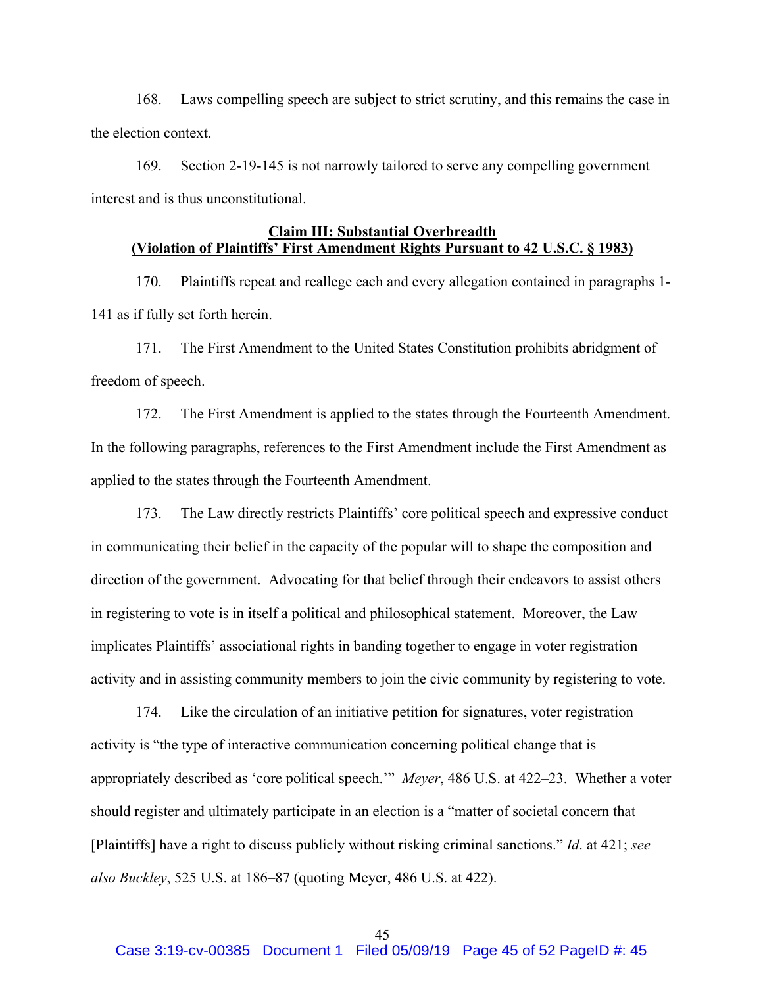168. Laws compelling speech are subject to strict scrutiny, and this remains the case in the election context.

169. Section 2-19-145 is not narrowly tailored to serve any compelling government interest and is thus unconstitutional.

# **Claim III: Substantial Overbreadth (Violation of Plaintiffs' First Amendment Rights Pursuant to 42 U.S.C. § 1983)**

170. Plaintiffs repeat and reallege each and every allegation contained in paragraphs 1- 141 as if fully set forth herein.

171. The First Amendment to the United States Constitution prohibits abridgment of freedom of speech.

172. The First Amendment is applied to the states through the Fourteenth Amendment. In the following paragraphs, references to the First Amendment include the First Amendment as applied to the states through the Fourteenth Amendment.

173. The Law directly restricts Plaintiffs' core political speech and expressive conduct in communicating their belief in the capacity of the popular will to shape the composition and direction of the government. Advocating for that belief through their endeavors to assist others in registering to vote is in itself a political and philosophical statement. Moreover, the Law implicates Plaintiffs' associational rights in banding together to engage in voter registration activity and in assisting community members to join the civic community by registering to vote.

174. Like the circulation of an initiative petition for signatures, voter registration activity is "the type of interactive communication concerning political change that is appropriately described as 'core political speech.'" *Meyer*, 486 U.S. at 422–23. Whether a voter should register and ultimately participate in an election is a "matter of societal concern that [Plaintiffs] have a right to discuss publicly without risking criminal sanctions." *Id*. at 421; *see also Buckley*, 525 U.S. at 186–87 (quoting Meyer, 486 U.S. at 422).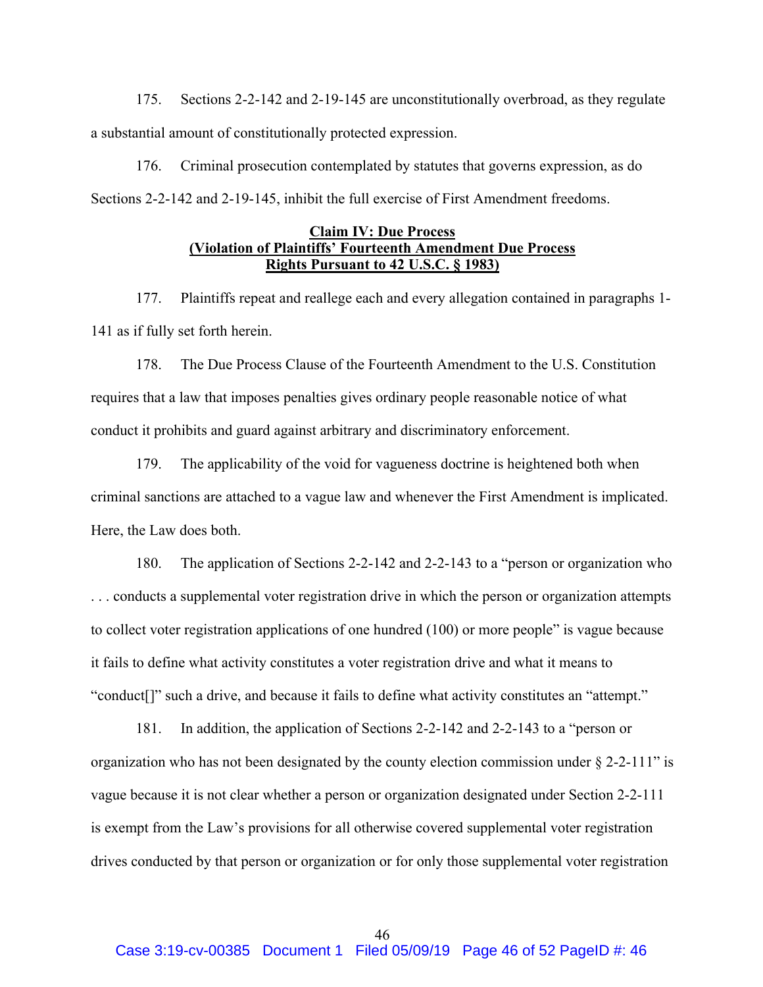175. Sections 2-2-142 and 2-19-145 are unconstitutionally overbroad, as they regulate a substantial amount of constitutionally protected expression.

176. Criminal prosecution contemplated by statutes that governs expression, as do Sections 2-2-142 and 2-19-145, inhibit the full exercise of First Amendment freedoms.

### **Claim IV: Due Process (Violation of Plaintiffs' Fourteenth Amendment Due Process Rights Pursuant to 42 U.S.C. § 1983)**

177. Plaintiffs repeat and reallege each and every allegation contained in paragraphs 1- 141 as if fully set forth herein.

178. The Due Process Clause of the Fourteenth Amendment to the U.S. Constitution requires that a law that imposes penalties gives ordinary people reasonable notice of what conduct it prohibits and guard against arbitrary and discriminatory enforcement.

179. The applicability of the void for vagueness doctrine is heightened both when criminal sanctions are attached to a vague law and whenever the First Amendment is implicated. Here, the Law does both.

180. The application of Sections 2-2-142 and 2-2-143 to a "person or organization who . . . conducts a supplemental voter registration drive in which the person or organization attempts to collect voter registration applications of one hundred (100) or more people" is vague because it fails to define what activity constitutes a voter registration drive and what it means to "conduct[]" such a drive, and because it fails to define what activity constitutes an "attempt."

181. In addition, the application of Sections 2-2-142 and 2-2-143 to a "person or organization who has not been designated by the county election commission under  $\S$  2-2-111" is vague because it is not clear whether a person or organization designated under Section 2-2-111 is exempt from the Law's provisions for all otherwise covered supplemental voter registration drives conducted by that person or organization or for only those supplemental voter registration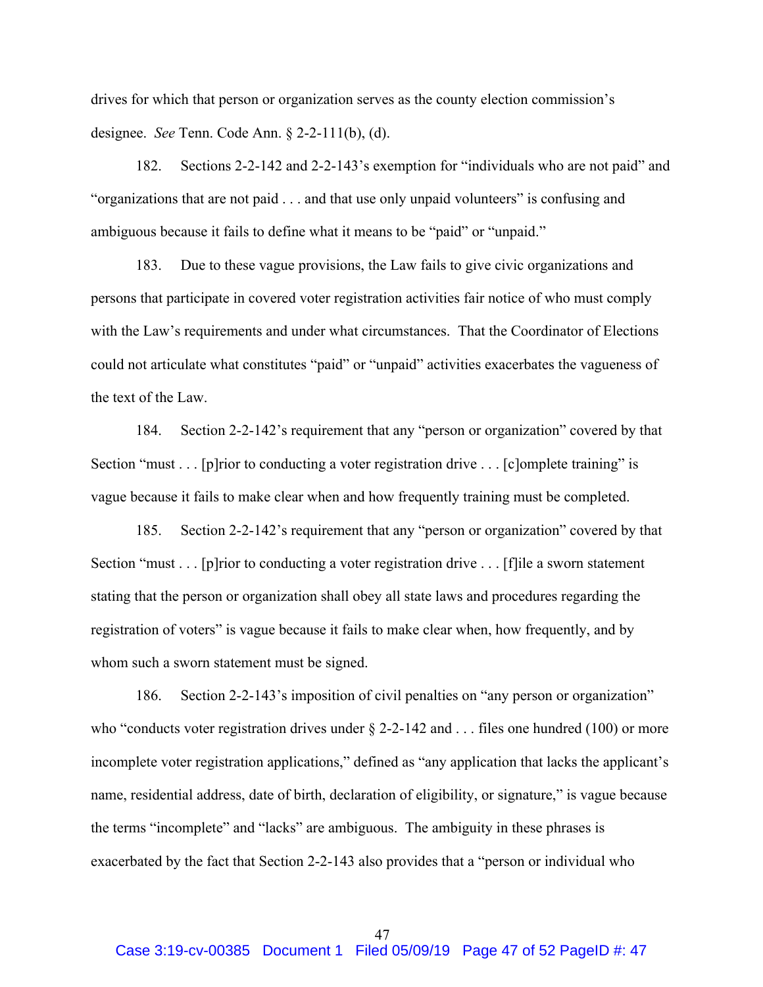drives for which that person or organization serves as the county election commission's designee. *See* Tenn. Code Ann. § 2-2-111(b), (d).

182. Sections 2-2-142 and 2-2-143's exemption for "individuals who are not paid" and "organizations that are not paid . . . and that use only unpaid volunteers" is confusing and ambiguous because it fails to define what it means to be "paid" or "unpaid."

183. Due to these vague provisions, the Law fails to give civic organizations and persons that participate in covered voter registration activities fair notice of who must comply with the Law's requirements and under what circumstances. That the Coordinator of Elections could not articulate what constitutes "paid" or "unpaid" activities exacerbates the vagueness of the text of the Law.

184. Section 2-2-142's requirement that any "person or organization" covered by that Section "must . . . [p]rior to conducting a voter registration drive . . . [c]omplete training" is vague because it fails to make clear when and how frequently training must be completed.

185. Section 2-2-142's requirement that any "person or organization" covered by that Section "must . . . [p]rior to conducting a voter registration drive . . . [f]ile a sworn statement stating that the person or organization shall obey all state laws and procedures regarding the registration of voters" is vague because it fails to make clear when, how frequently, and by whom such a sworn statement must be signed.

186. Section 2-2-143's imposition of civil penalties on "any person or organization" who "conducts voter registration drives under  $\S$  2-2-142 and . . . files one hundred (100) or more incomplete voter registration applications," defined as "any application that lacks the applicant's name, residential address, date of birth, declaration of eligibility, or signature," is vague because the terms "incomplete" and "lacks" are ambiguous. The ambiguity in these phrases is exacerbated by the fact that Section 2-2-143 also provides that a "person or individual who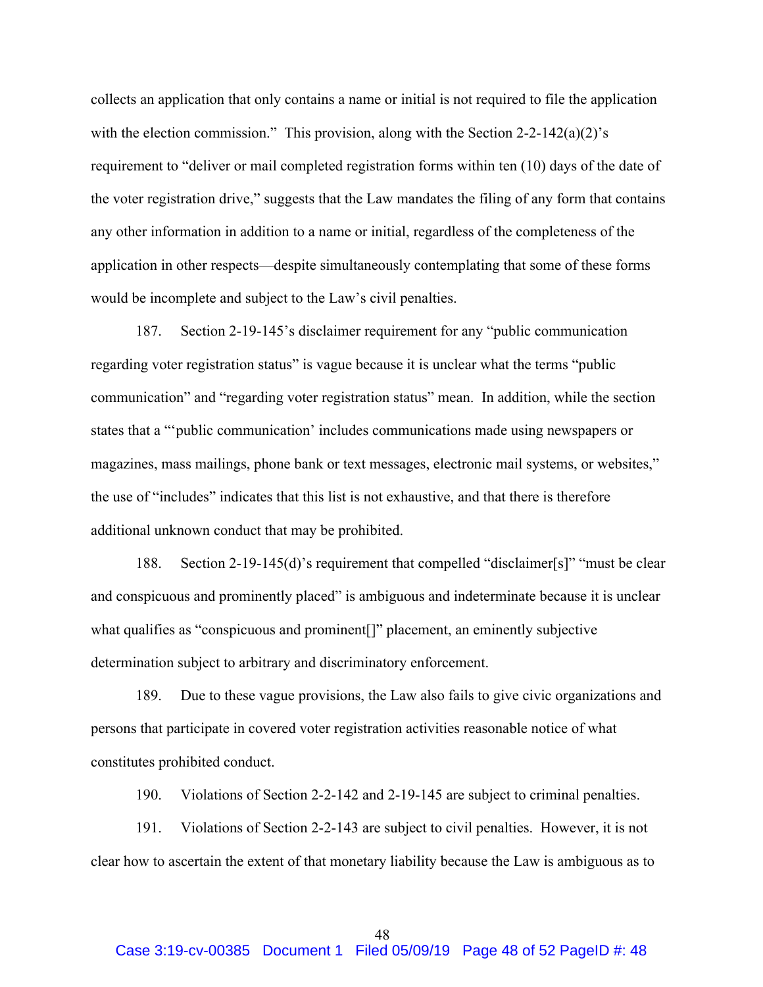collects an application that only contains a name or initial is not required to file the application with the election commission." This provision, along with the Section  $2-2-142(a)(2)$ 's requirement to "deliver or mail completed registration forms within ten (10) days of the date of the voter registration drive," suggests that the Law mandates the filing of any form that contains any other information in addition to a name or initial, regardless of the completeness of the application in other respects—despite simultaneously contemplating that some of these forms would be incomplete and subject to the Law's civil penalties.

187. Section 2-19-145's disclaimer requirement for any "public communication regarding voter registration status" is vague because it is unclear what the terms "public communication" and "regarding voter registration status" mean. In addition, while the section states that a "'public communication' includes communications made using newspapers or magazines, mass mailings, phone bank or text messages, electronic mail systems, or websites," the use of "includes" indicates that this list is not exhaustive, and that there is therefore additional unknown conduct that may be prohibited.

188. Section 2-19-145(d)'s requirement that compelled "disclaimer[s]" "must be clear and conspicuous and prominently placed" is ambiguous and indeterminate because it is unclear what qualifies as "conspicuous and prominent[]" placement, an eminently subjective determination subject to arbitrary and discriminatory enforcement.

189. Due to these vague provisions, the Law also fails to give civic organizations and persons that participate in covered voter registration activities reasonable notice of what constitutes prohibited conduct.

190. Violations of Section 2-2-142 and 2-19-145 are subject to criminal penalties.

191. Violations of Section 2-2-143 are subject to civil penalties. However, it is not clear how to ascertain the extent of that monetary liability because the Law is ambiguous as to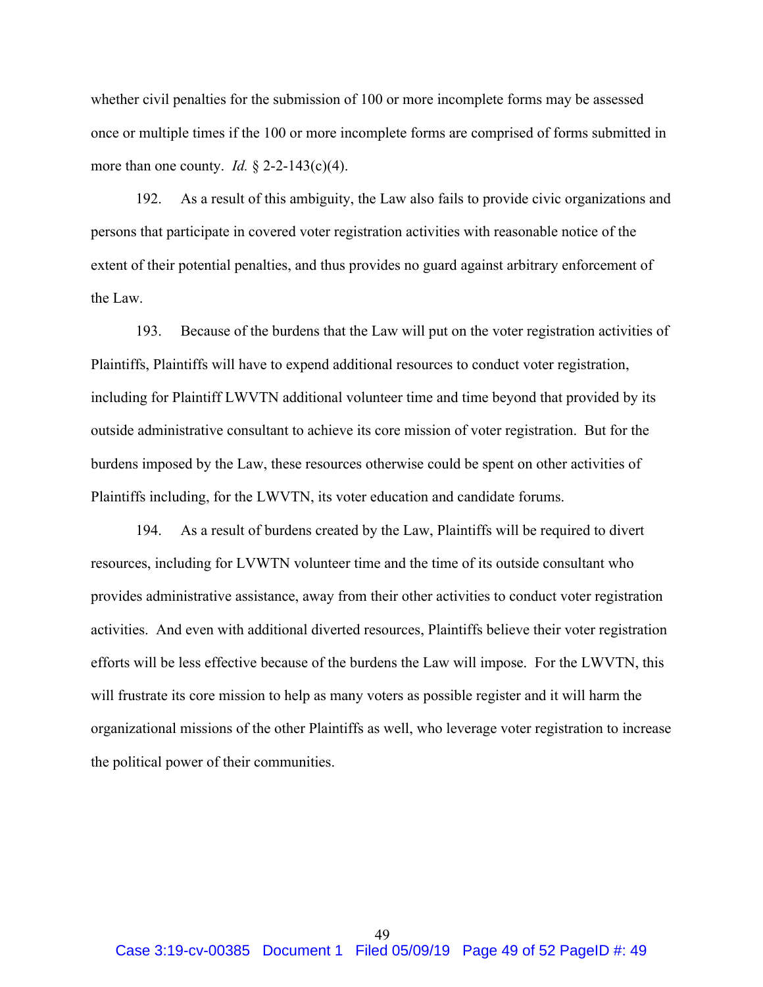whether civil penalties for the submission of 100 or more incomplete forms may be assessed once or multiple times if the 100 or more incomplete forms are comprised of forms submitted in more than one county. *Id.* § 2-2-143(c)(4).

192. As a result of this ambiguity, the Law also fails to provide civic organizations and persons that participate in covered voter registration activities with reasonable notice of the extent of their potential penalties, and thus provides no guard against arbitrary enforcement of the Law.

193. Because of the burdens that the Law will put on the voter registration activities of Plaintiffs, Plaintiffs will have to expend additional resources to conduct voter registration, including for Plaintiff LWVTN additional volunteer time and time beyond that provided by its outside administrative consultant to achieve its core mission of voter registration. But for the burdens imposed by the Law, these resources otherwise could be spent on other activities of Plaintiffs including, for the LWVTN, its voter education and candidate forums.

194. As a result of burdens created by the Law, Plaintiffs will be required to divert resources, including for LVWTN volunteer time and the time of its outside consultant who provides administrative assistance, away from their other activities to conduct voter registration activities. And even with additional diverted resources, Plaintiffs believe their voter registration efforts will be less effective because of the burdens the Law will impose. For the LWVTN, this will frustrate its core mission to help as many voters as possible register and it will harm the organizational missions of the other Plaintiffs as well, who leverage voter registration to increase the political power of their communities.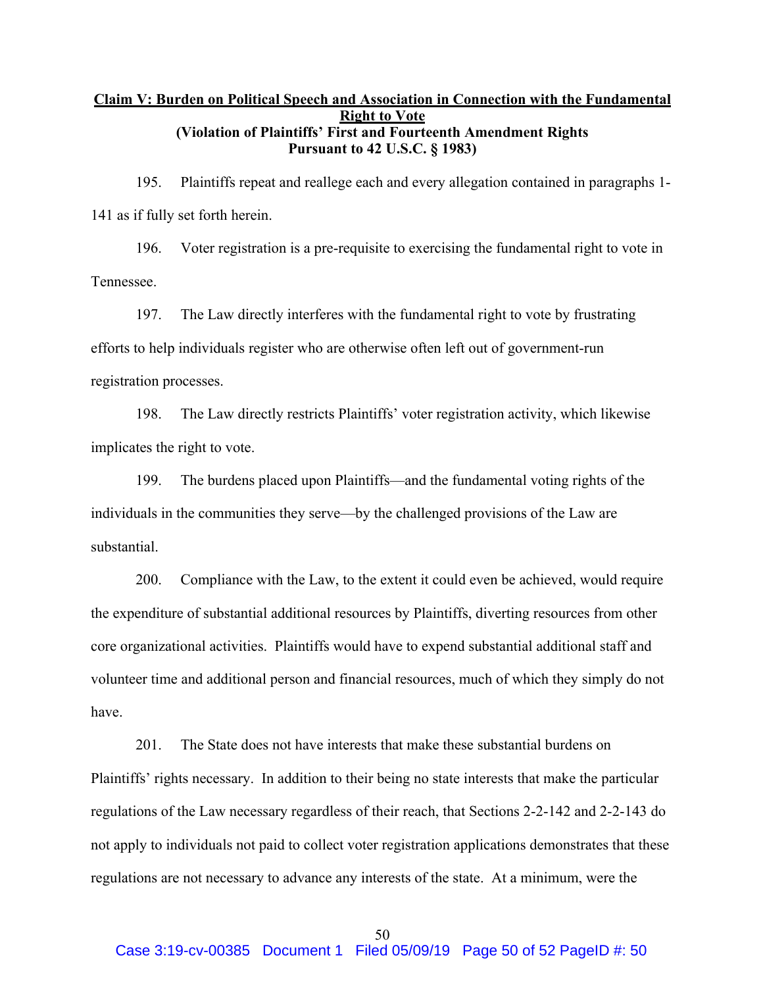# **Claim V: Burden on Political Speech and Association in Connection with the Fundamental Right to Vote (Violation of Plaintiffs' First and Fourteenth Amendment Rights Pursuant to 42 U.S.C. § 1983)**

195. Plaintiffs repeat and reallege each and every allegation contained in paragraphs 1- 141 as if fully set forth herein.

196. Voter registration is a pre-requisite to exercising the fundamental right to vote in Tennessee.

197. The Law directly interferes with the fundamental right to vote by frustrating efforts to help individuals register who are otherwise often left out of government-run registration processes.

198. The Law directly restricts Plaintiffs' voter registration activity, which likewise implicates the right to vote.

199. The burdens placed upon Plaintiffs—and the fundamental voting rights of the individuals in the communities they serve—by the challenged provisions of the Law are substantial.

200. Compliance with the Law, to the extent it could even be achieved, would require the expenditure of substantial additional resources by Plaintiffs, diverting resources from other core organizational activities. Plaintiffs would have to expend substantial additional staff and volunteer time and additional person and financial resources, much of which they simply do not have.

201. The State does not have interests that make these substantial burdens on Plaintiffs' rights necessary. In addition to their being no state interests that make the particular regulations of the Law necessary regardless of their reach, that Sections 2-2-142 and 2-2-143 do not apply to individuals not paid to collect voter registration applications demonstrates that these regulations are not necessary to advance any interests of the state. At a minimum, were the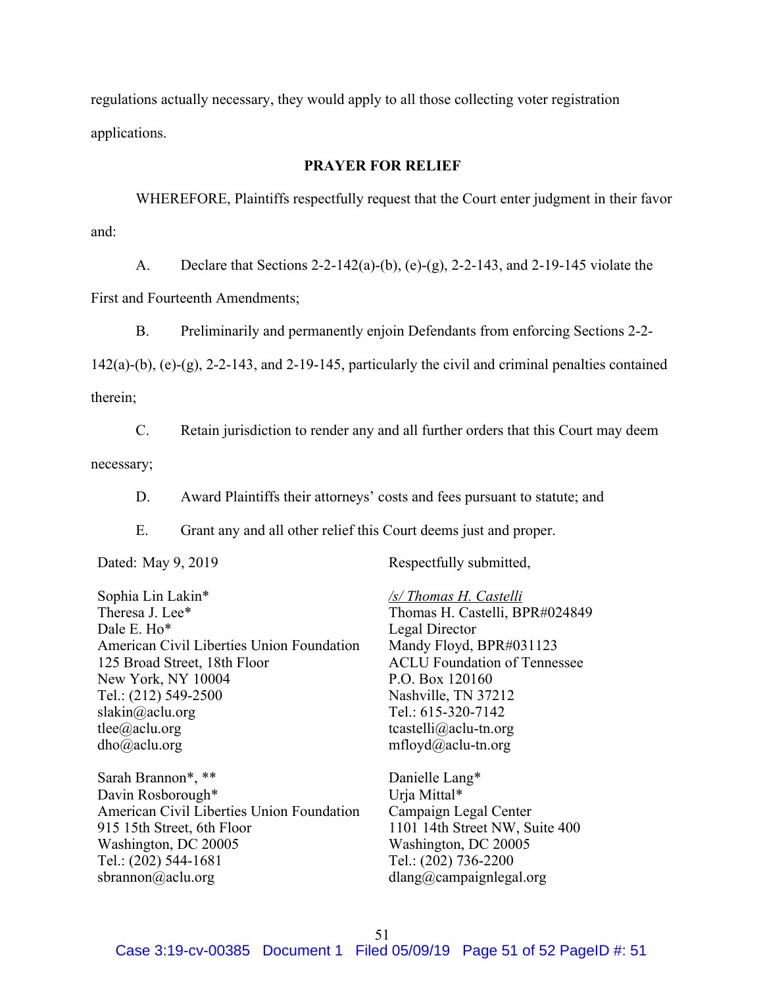regulations actually necessary, they would apply to all those collecting voter registration applications.

### **PRAYER FOR RELIEF**

WHEREFORE, Plaintiffs respectfully request that the Court enter judgment in their favor and:

A. Declare that Sections 2-2-142(a)-(b), (e)-(g), 2-2-143, and 2-19-145 violate the First and Fourteenth Amendments;

B. Preliminarily and permanently enjoin Defendants from enforcing Sections 2-2-

 $142(a)$ -(b), (e)-(g), 2-2-143, and 2-19-145, particularly the civil and criminal penalties contained therein;

C. Retain jurisdiction to render any and all further orders that this Court may deem necessary;

D. Award Plaintiffs their attorneys' costs and fees pursuant to statute; and

E. Grant any and all other relief this Court deems just and proper.

Sophia Lin Lakin\* Theresa J. Lee\* Dale E. Ho\* American Civil Liberties Union Foundation 125 Broad Street, 18th Floor New York, NY 10004 Tel.: (212) 549-2500 slakin@aclu.org tlee@aclu.org dho@aclu.org

Sarah Brannon\*, \*\* Davin Rosborough\* American Civil Liberties Union Foundation 915 15th Street, 6th Floor Washington, DC 20005 Tel.: (202) 544-1681 sbrannon@aclu.org

Dated: May 9, 2019 Respectfully submitted,

*/s/ Thomas H. Castelli* Thomas H. Castelli, BPR#024849 Legal Director Mandy Floyd, BPR#031123 ACLU Foundation of Tennessee P.O. Box 120160 Nashville, TN 37212 Tel.: 615-320-7142 tcastelli@aclu-tn.org mfloyd@aclu-tn.org

Danielle Lang\* Urja Mittal\* Campaign Legal Center 1101 14th Street NW, Suite 400 Washington, DC 20005 Tel.: (202) 736-2200 dlang@campaignlegal.org